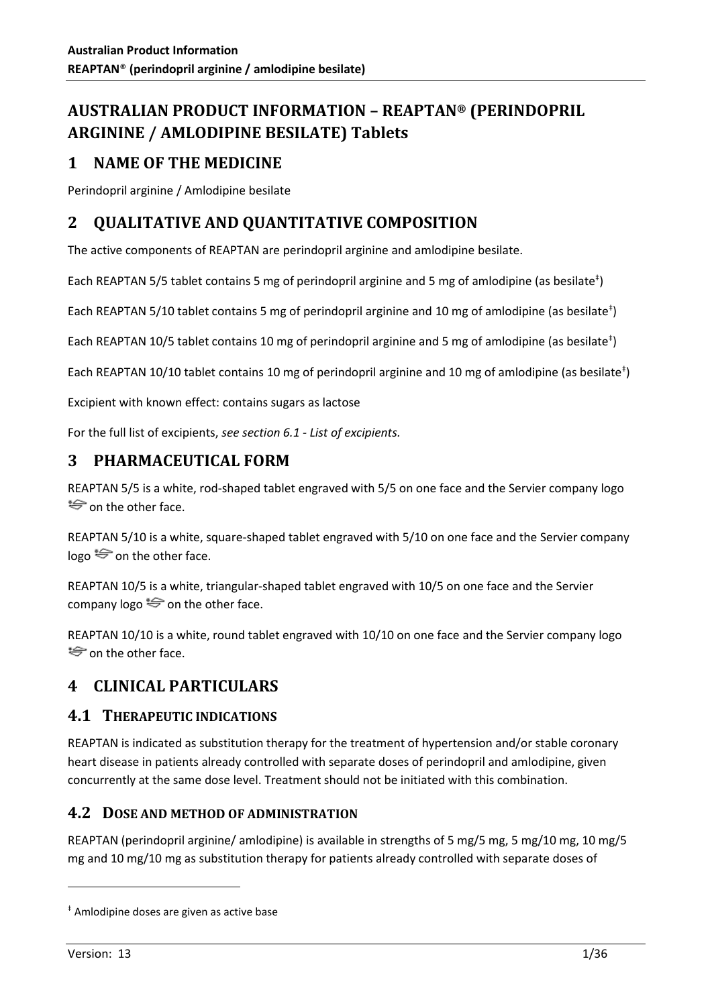# **AUSTRALIAN PRODUCT INFORMATION – REAPTAN® (PERINDOPRIL ARGININE / AMLODIPINE BESILATE) Tablets**

# **1 NAME OF THE MEDICINE**

Perindopril arginine / Amlodipine besilate

# **2 QUALITATIVE AND QUANTITATIVE COMPOSITION**

The active components of REAPTAN are perindopril arginine and amlodipine besilate.

Each REAPTAN 5/5 tablet contains 5 mg of perindopril arginine and 5 mg of amlodipine (as besilate<sup>†</sup>)

Each REAPTAN 5/10 tablet contains 5 mg of perindopril arginine and 10 mg of amlodipine (as besilate<sup>‡</sup>)

Each REAPTAN 10/5 tablet contains 10 mg of perindopril arginine and 5 mg of amlodipine (as besilate<sup>†</sup>)

Each REAPTAN 10/10 tablet contains 10 mg of perindopril arginine and 10 mg of amlodipine (as besilate<sup>†</sup>)

Excipient with known effect: contains sugars as lactose

For the full list of excipients, *see section 6.1 - List of excipients.*

# **3 PHARMACEUTICAL FORM**

REAPTAN 5/5 is a white, rod-shaped tablet engraved with 5/5 on one face and the Servier company logo  $\Rightarrow$  on the other face.

REAPTAN 5/10 is a white, square-shaped tablet engraved with 5/10 on one face and the Servier company logo  $\leftrightarrow$  on the other face.

REAPTAN 10/5 is a white, triangular-shaped tablet engraved with 10/5 on one face and the Servier company logo  $\Longleftrightarrow$  on the other face.

REAPTAN 10/10 is a white, round tablet engraved with 10/10 on one face and the Servier company logo  $\Rightarrow$  on the other face.

# **4 CLINICAL PARTICULARS**

# **4.1 THERAPEUTIC INDICATIONS**

REAPTAN is indicated as substitution therapy for the treatment of hypertension and/or stable coronary heart disease in patients already controlled with separate doses of perindopril and amlodipine, given concurrently at the same dose level. Treatment should not be initiated with this combination.

# **4.2 DOSE AND METHOD OF ADMINISTRATION**

REAPTAN (perindopril arginine/ amlodipine) is available in strengths of 5 mg/5 mg, 5 mg/10 mg, 10 mg/5 mg and 10 mg/10 mg as substitution therapy for patients already controlled with separate doses of

<sup>‡</sup> Amlodipine doses are given as active base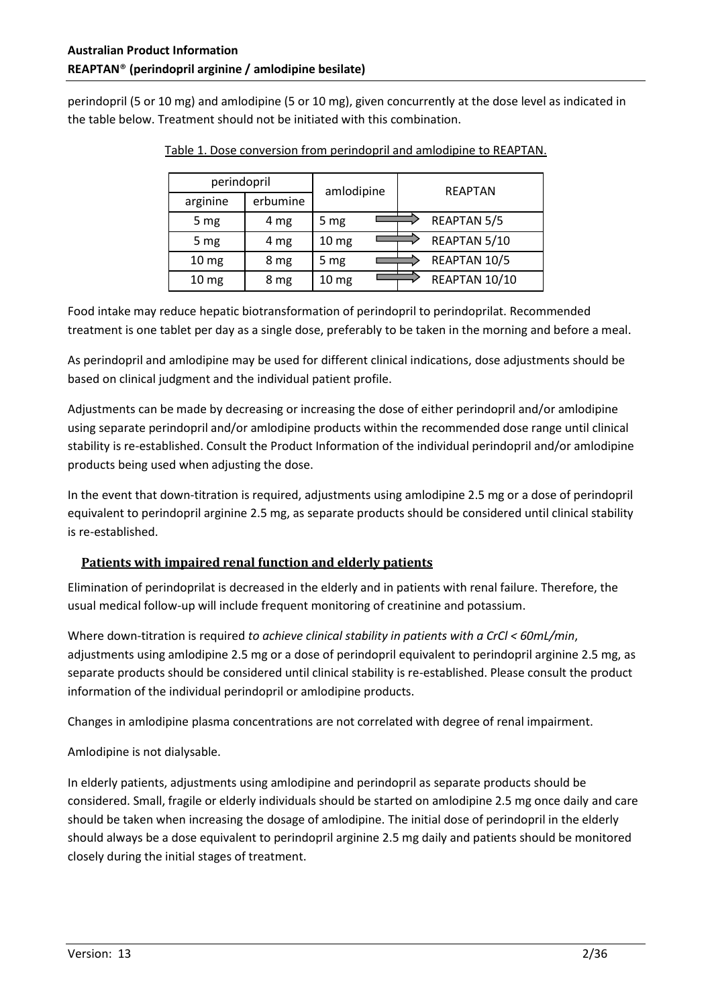perindopril (5 or 10 mg) and amlodipine (5 or 10 mg), given concurrently at the dose level as indicated in the table below. Treatment should not be initiated with this combination.

| perindopril        |          | amlodipine       |  | <b>REAPTAN</b>     |  |
|--------------------|----------|------------------|--|--------------------|--|
| arginine           | erbumine |                  |  |                    |  |
| 5 mg               | 4 mg     | 5 mg             |  | <b>REAPTAN 5/5</b> |  |
| 5 mg               | 4 mg     | 10 <sub>mg</sub> |  | REAPTAN 5/10       |  |
| 10 <sub>mg</sub>   | 8 mg     | 5 mg             |  | REAPTAN 10/5       |  |
| $10 \,\mathrm{mg}$ | 8 mg     | 10 <sub>mg</sub> |  | REAPTAN 10/10      |  |

Table 1. Dose conversion from perindopril and amlodipine to REAPTAN.

Food intake may reduce hepatic biotransformation of perindopril to perindoprilat. Recommended treatment is one tablet per day as a single dose, preferably to be taken in the morning and before a meal.

As perindopril and amlodipine may be used for different clinical indications, dose adjustments should be based on clinical judgment and the individual patient profile.

Adjustments can be made by decreasing or increasing the dose of either perindopril and/or amlodipine using separate perindopril and/or amlodipine products within the recommended dose range until clinical stability is re-established. Consult the Product Information of the individual perindopril and/or amlodipine products being used when adjusting the dose.

In the event that down-titration is required, adjustments using amlodipine 2.5 mg or a dose of perindopril equivalent to perindopril arginine 2.5 mg, as separate products should be considered until clinical stability is re-established.

# **Patients with impaired renal function and elderly patients**

Elimination of perindoprilat is decreased in the elderly and in patients with renal failure. Therefore, the usual medical follow-up will include frequent monitoring of creatinine and potassium.

Where down-titration is required *to achieve clinical stability in patients with a CrCl < 60mL/min*, adjustments using amlodipine 2.5 mg or a dose of perindopril equivalent to perindopril arginine 2.5 mg, as separate products should be considered until clinical stability is re-established. Please consult the product information of the individual perindopril or amlodipine products.

Changes in amlodipine plasma concentrations are not correlated with degree of renal impairment.

Amlodipine is not dialysable.

In elderly patients, adjustments using amlodipine and perindopril as separate products should be considered. Small, fragile or elderly individuals should be started on amlodipine 2.5 mg once daily and care should be taken when increasing the dosage of amlodipine. The initial dose of perindopril in the elderly should always be a dose equivalent to perindopril arginine 2.5 mg daily and patients should be monitored closely during the initial stages of treatment.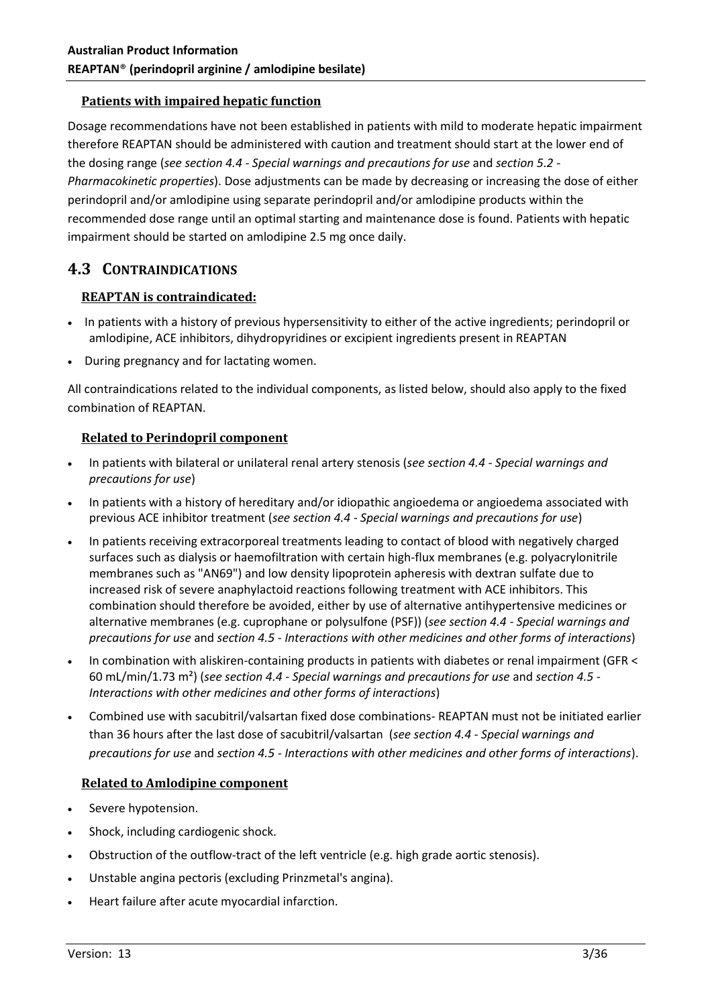#### **Patients with impaired hepatic function**

Dosage recommendations have not been established in patients with mild to moderate hepatic impairment therefore REAPTAN should be administered with caution and treatment should start at the lower end of the dosing range (*see section 4.4 - Special warnings and precautions for use* and *section 5.2 - Pharmacokinetic properties*). Dose adjustments can be made by decreasing or increasing the dose of either perindopril and/or amlodipine using separate perindopril and/or amlodipine products within the recommended dose range until an optimal starting and maintenance dose is found. Patients with hepatic impairment should be started on amlodipine 2.5 mg once daily.

# **4.3 CONTRAINDICATIONS**

#### **REAPTAN is contraindicated:**

- In patients with a history of previous hypersensitivity to either of the active ingredients; perindopril or amlodipine, ACE inhibitors, dihydropyridines or excipient ingredients present in REAPTAN
- During pregnancy and for lactating women.

All contraindications related to the individual components, as listed below, should also apply to the fixed combination of REAPTAN.

#### **Related to Perindopril component**

- In patients with bilateral or unilateral renal artery stenosis (*see section 4.4 - Special warnings and precautions for use*)
- In patients with a history of hereditary and/or idiopathic angioedema or angioedema associated with previous ACE inhibitor treatment (*see section 4.4 - Special warnings and precautions for use*)
- In patients receiving extracorporeal treatments leading to contact of blood with negatively charged surfaces such as dialysis or haemofiltration with certain high-flux membranes (e.g. polyacrylonitrile membranes such as "AN69") and low density lipoprotein apheresis with dextran sulfate due to increased risk of severe anaphylactoid reactions following treatment with ACE inhibitors. This combination should therefore be avoided, either by use of alternative antihypertensive medicines or alternative membranes (e.g. cuprophane or polysulfone (PSF)) (*see section 4.4 - Special warnings and precautions for use* and *section 4.5 - Interactions with other medicines and other forms of interactions*)
- In combination with aliskiren-containing products in patients with diabetes or renal impairment (GFR < 60 mL/min/1.73 m²) (*see section 4.4 - Special warnings and precautions for use* and *section 4.5 - Interactions with other medicines and other forms of interactions*)
- Combined use with sacubitril/valsartan fixed dose combinations- REAPTAN must not be initiated earlier than 36 hours after the last dose of sacubitril/valsartan (*see section 4.4 - Special warnings and precautions for use* and *section 4.5 - Interactions with other medicines and other forms of interactions*).

#### **Related to Amlodipine component**

- Severe hypotension.
- Shock, including cardiogenic shock.
- Obstruction of the outflow-tract of the left ventricle (e.g. high grade aortic stenosis).
- Unstable angina pectoris (excluding Prinzmetal's angina).
- Heart failure after acute myocardial infarction.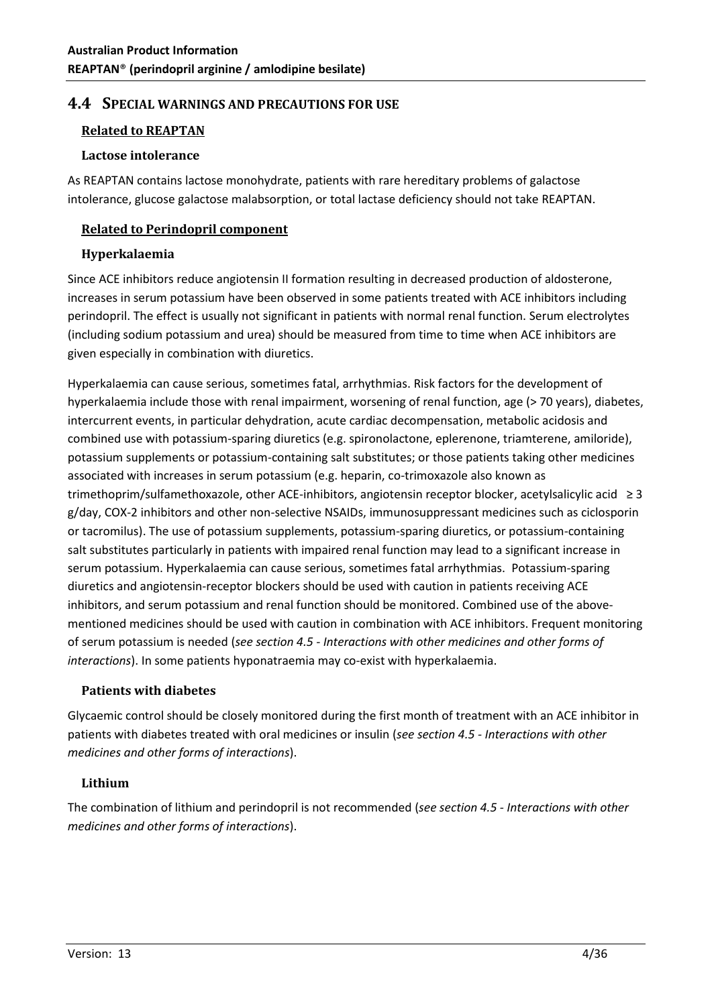# **4.4 SPECIAL WARNINGS AND PRECAUTIONS FOR USE**

# **Related to REAPTAN**

#### **Lactose intolerance**

As REAPTAN contains lactose monohydrate, patients with rare hereditary problems of galactose intolerance, glucose galactose malabsorption, or total lactase deficiency should not take REAPTAN.

## **Related to Perindopril component**

# **Hyperkalaemia**

Since ACE inhibitors reduce angiotensin II formation resulting in decreased production of aldosterone, increases in serum potassium have been observed in some patients treated with ACE inhibitors including perindopril. The effect is usually not significant in patients with normal renal function. Serum electrolytes (including sodium potassium and urea) should be measured from time to time when ACE inhibitors are given especially in combination with diuretics.

Hyperkalaemia can cause serious, sometimes fatal, arrhythmias. Risk factors for the development of hyperkalaemia include those with renal impairment, worsening of renal function, age (> 70 years), diabetes, intercurrent events, in particular dehydration, acute cardiac decompensation, metabolic acidosis and combined use with potassium-sparing diuretics (e.g. spironolactone, eplerenone, triamterene, amiloride), potassium supplements or potassium-containing salt substitutes; or those patients taking other medicines associated with increases in serum potassium (e.g. heparin, co-trimoxazole also known as trimethoprim/sulfamethoxazole, other ACE-inhibitors, angiotensin receptor blocker, acetylsalicylic acid ≥ 3 g/day, COX-2 inhibitors and other non-selective NSAIDs, immunosuppressant medicines such as ciclosporin or tacromilus). The use of potassium supplements, potassium-sparing diuretics, or potassium-containing salt substitutes particularly in patients with impaired renal function may lead to a significant increase in serum potassium. Hyperkalaemia can cause serious, sometimes fatal arrhythmias. Potassium-sparing diuretics and angiotensin-receptor blockers should be used with caution in patients receiving ACE inhibitors, and serum potassium and renal function should be monitored. Combined use of the abovementioned medicines should be used with caution in combination with ACE inhibitors. Frequent monitoring of serum potassium is needed (*see section 4.5 - Interactions with other medicines and other forms of interactions*). In some patients hyponatraemia may co-exist with hyperkalaemia.

#### **Patients with diabetes**

Glycaemic control should be closely monitored during the first month of treatment with an ACE inhibitor in patients with diabetes treated with oral medicines or insulin (*see section 4.5 - Interactions with other medicines and other forms of interactions*).

# **Lithium**

The combination of lithium and perindopril is not recommended (*see section 4.5 - Interactions with other medicines and other forms of interactions*).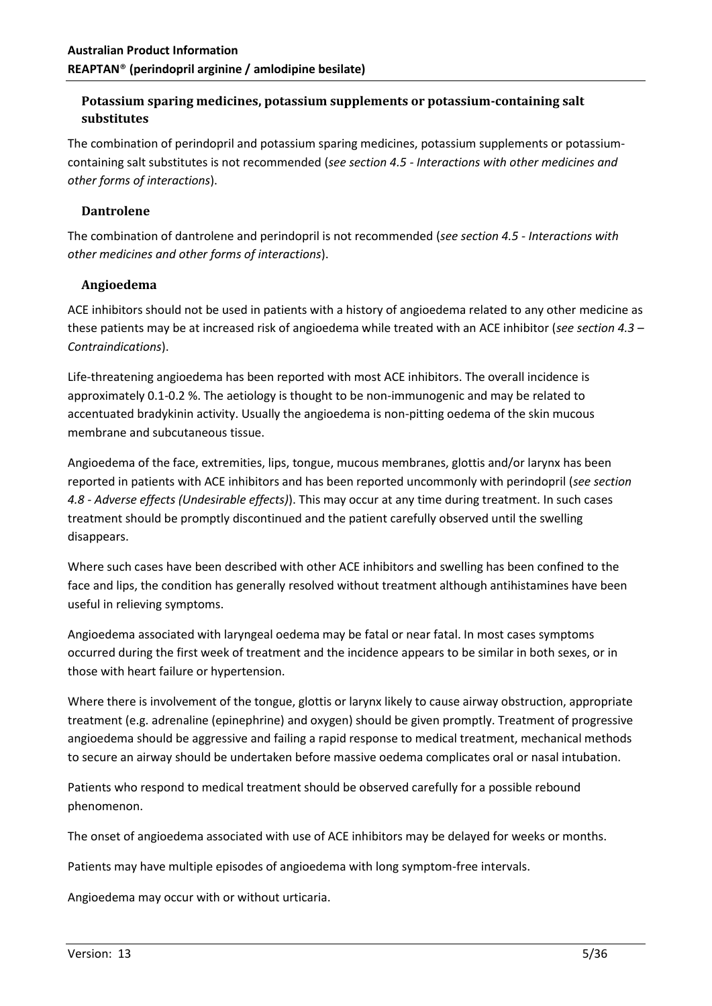# **Potassium sparing medicines, potassium supplements or potassium-containing salt substitutes**

The combination of perindopril and potassium sparing medicines, potassium supplements or potassiumcontaining salt substitutes is not recommended (*see section 4.5 - Interactions with other medicines and other forms of interactions*).

# **Dantrolene**

The combination of dantrolene and perindopril is not recommended (*see section 4.5 - Interactions with other medicines and other forms of interactions*).

#### **Angioedema**

ACE inhibitors should not be used in patients with a history of angioedema related to any other medicine as these patients may be at increased risk of angioedema while treated with an ACE inhibitor (*see section 4.3 – Contraindications*).

Life-threatening angioedema has been reported with most ACE inhibitors. The overall incidence is approximately 0.1-0.2 %. The aetiology is thought to be non-immunogenic and may be related to accentuated bradykinin activity. Usually the angioedema is non-pitting oedema of the skin mucous membrane and subcutaneous tissue.

Angioedema of the face, extremities, lips, tongue, mucous membranes, glottis and/or larynx has been reported in patients with ACE inhibitors and has been reported uncommonly with perindopril (*see section 4.8 - Adverse effects (Undesirable effects)*). This may occur at any time during treatment. In such cases treatment should be promptly discontinued and the patient carefully observed until the swelling disappears.

Where such cases have been described with other ACE inhibitors and swelling has been confined to the face and lips, the condition has generally resolved without treatment although antihistamines have been useful in relieving symptoms.

Angioedema associated with laryngeal oedema may be fatal or near fatal. In most cases symptoms occurred during the first week of treatment and the incidence appears to be similar in both sexes, or in those with heart failure or hypertension.

Where there is involvement of the tongue, glottis or larynx likely to cause airway obstruction, appropriate treatment (e.g. adrenaline (epinephrine) and oxygen) should be given promptly. Treatment of progressive angioedema should be aggressive and failing a rapid response to medical treatment, mechanical methods to secure an airway should be undertaken before massive oedema complicates oral or nasal intubation.

Patients who respond to medical treatment should be observed carefully for a possible rebound phenomenon.

The onset of angioedema associated with use of ACE inhibitors may be delayed for weeks or months.

Patients may have multiple episodes of angioedema with long symptom-free intervals.

Angioedema may occur with or without urticaria.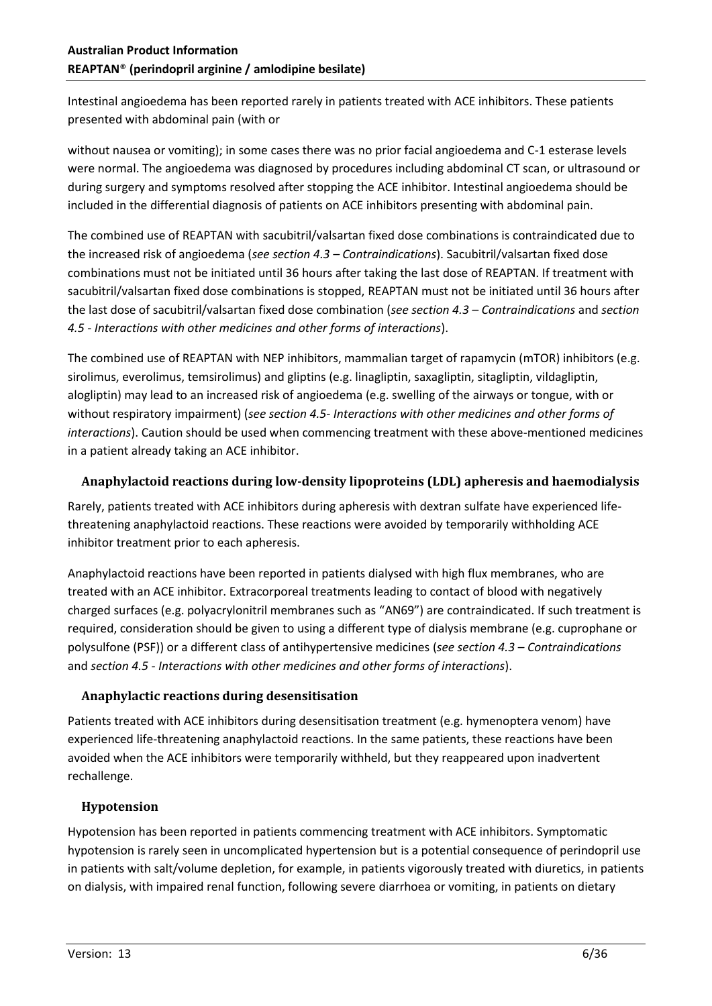Intestinal angioedema has been reported rarely in patients treated with ACE inhibitors. These patients presented with abdominal pain (with or

without nausea or vomiting); in some cases there was no prior facial angioedema and C-1 esterase levels were normal. The angioedema was diagnosed by procedures including abdominal CT scan, or ultrasound or during surgery and symptoms resolved after stopping the ACE inhibitor. Intestinal angioedema should be included in the differential diagnosis of patients on ACE inhibitors presenting with abdominal pain.

The combined use of REAPTAN with sacubitril/valsartan fixed dose combinations is contraindicated due to the increased risk of angioedema (*see section 4.3 – Contraindications*). Sacubitril/valsartan fixed dose combinations must not be initiated until 36 hours after taking the last dose of REAPTAN. If treatment with sacubitril/valsartan fixed dose combinations is stopped, REAPTAN must not be initiated until 36 hours after the last dose of sacubitril/valsartan fixed dose combination (*see section 4.3 – Contraindications* and *section 4.5 - Interactions with other medicines and other forms of interactions*).

The combined use of REAPTAN with NEP inhibitors, mammalian target of rapamycin (mTOR) inhibitors (e.g. sirolimus, everolimus, temsirolimus) and gliptins (e.g. linagliptin, saxagliptin, sitagliptin, vildagliptin, alogliptin) may lead to an increased risk of angioedema (e.g. swelling of the airways or tongue, with or without respiratory impairment) (*see section 4.5- Interactions with other medicines and other forms of interactions*). Caution should be used when commencing treatment with these above-mentioned medicines in a patient already taking an ACE inhibitor.

# **Anaphylactoid reactions during low-density lipoproteins (LDL) apheresis and haemodialysis**

Rarely, patients treated with ACE inhibitors during apheresis with dextran sulfate have experienced lifethreatening anaphylactoid reactions. These reactions were avoided by temporarily withholding ACE inhibitor treatment prior to each apheresis.

Anaphylactoid reactions have been reported in patients dialysed with high flux membranes, who are treated with an ACE inhibitor. Extracorporeal treatments leading to contact of blood with negatively charged surfaces (e.g. polyacrylonitril membranes such as "AN69") are contraindicated. If such treatment is required, consideration should be given to using a different type of dialysis membrane (e.g. cuprophane or polysulfone (PSF)) or a different class of antihypertensive medicines (*see section 4.3 – Contraindications* and *section 4.5 - Interactions with other medicines and other forms of interactions*).

# **Anaphylactic reactions during desensitisation**

Patients treated with ACE inhibitors during desensitisation treatment (e.g. hymenoptera venom) have experienced life-threatening anaphylactoid reactions. In the same patients, these reactions have been avoided when the ACE inhibitors were temporarily withheld, but they reappeared upon inadvertent rechallenge.

# **Hypotension**

Hypotension has been reported in patients commencing treatment with ACE inhibitors. Symptomatic hypotension is rarely seen in uncomplicated hypertension but is a potential consequence of perindopril use in patients with salt/volume depletion, for example, in patients vigorously treated with diuretics, in patients on dialysis, with impaired renal function, following severe diarrhoea or vomiting, in patients on dietary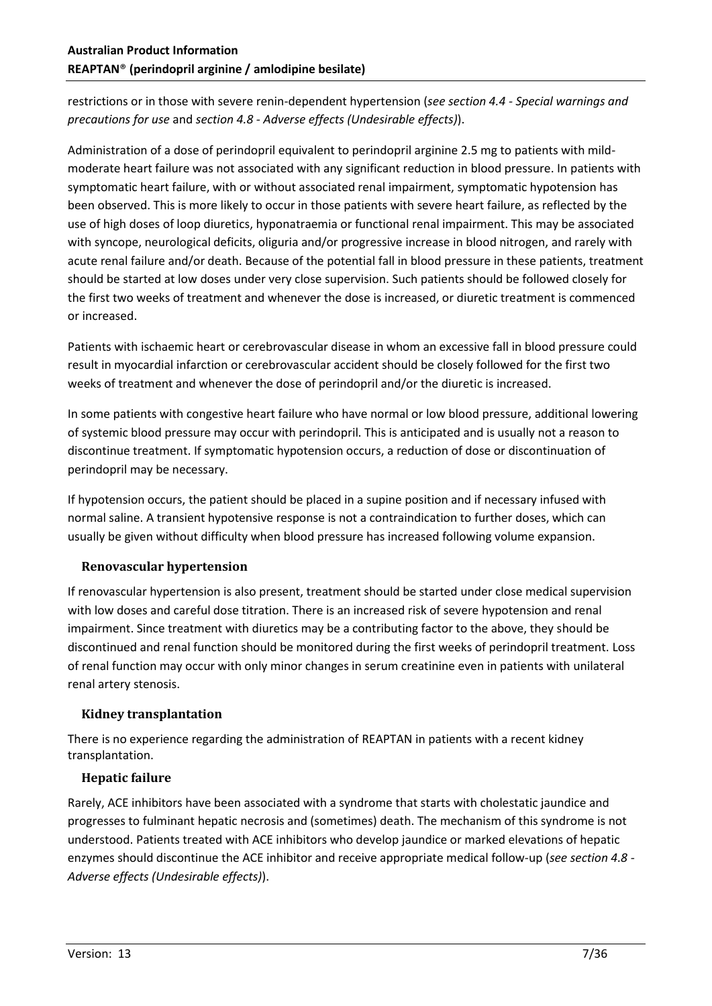restrictions or in those with severe renin-dependent hypertension (*see section 4.4 - Special warnings and precautions for use* and *section 4.8 - Adverse effects (Undesirable effects)*).

Administration of a dose of perindopril equivalent to perindopril arginine 2.5 mg to patients with mildmoderate heart failure was not associated with any significant reduction in blood pressure. In patients with symptomatic heart failure, with or without associated renal impairment, symptomatic hypotension has been observed. This is more likely to occur in those patients with severe heart failure, as reflected by the use of high doses of loop diuretics, hyponatraemia or functional renal impairment. This may be associated with syncope, neurological deficits, oliguria and/or progressive increase in blood nitrogen, and rarely with acute renal failure and/or death. Because of the potential fall in blood pressure in these patients, treatment should be started at low doses under very close supervision. Such patients should be followed closely for the first two weeks of treatment and whenever the dose is increased, or diuretic treatment is commenced or increased.

Patients with ischaemic heart or cerebrovascular disease in whom an excessive fall in blood pressure could result in myocardial infarction or cerebrovascular accident should be closely followed for the first two weeks of treatment and whenever the dose of perindopril and/or the diuretic is increased.

In some patients with congestive heart failure who have normal or low blood pressure, additional lowering of systemic blood pressure may occur with perindopril. This is anticipated and is usually not a reason to discontinue treatment. If symptomatic hypotension occurs, a reduction of dose or discontinuation of perindopril may be necessary.

If hypotension occurs, the patient should be placed in a supine position and if necessary infused with normal saline. A transient hypotensive response is not a contraindication to further doses, which can usually be given without difficulty when blood pressure has increased following volume expansion.

# **Renovascular hypertension**

If renovascular hypertension is also present, treatment should be started under close medical supervision with low doses and careful dose titration. There is an increased risk of severe hypotension and renal impairment. Since treatment with diuretics may be a contributing factor to the above, they should be discontinued and renal function should be monitored during the first weeks of perindopril treatment. Loss of renal function may occur with only minor changes in serum creatinine even in patients with unilateral renal artery stenosis.

# **Kidney transplantation**

There is no experience regarding the administration of REAPTAN in patients with a recent kidney transplantation.

#### **Hepatic failure**

Rarely, ACE inhibitors have been associated with a syndrome that starts with cholestatic jaundice and progresses to fulminant hepatic necrosis and (sometimes) death. The mechanism of this syndrome is not understood. Patients treated with ACE inhibitors who develop jaundice or marked elevations of hepatic enzymes should discontinue the ACE inhibitor and receive appropriate medical follow-up (*see section 4.8 - Adverse effects (Undesirable effects)*).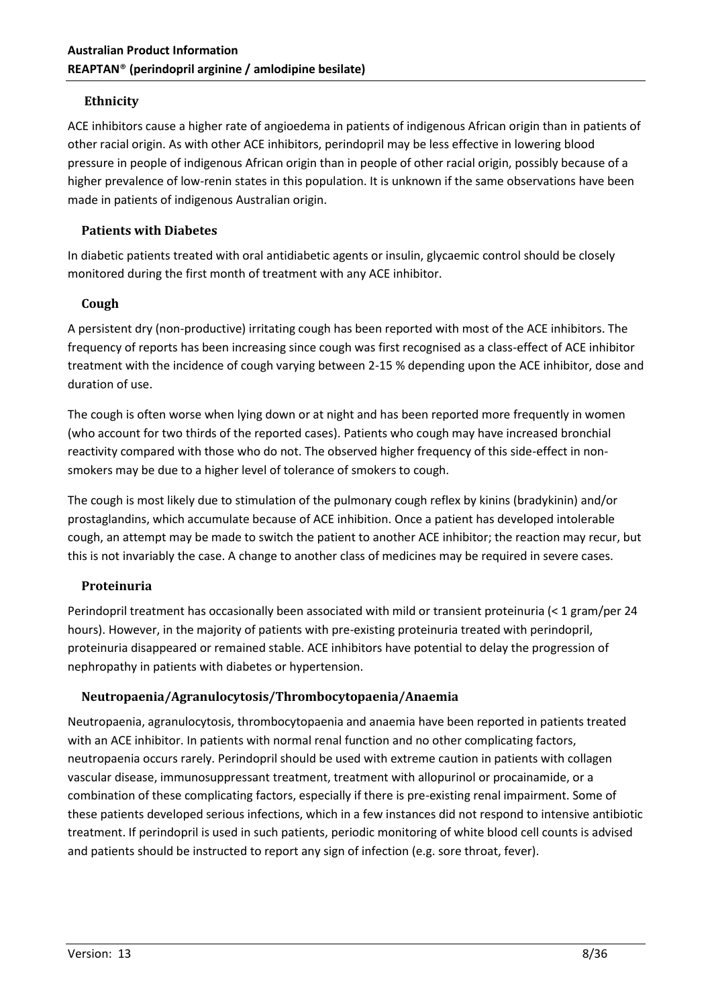### **Ethnicity**

ACE inhibitors cause a higher rate of angioedema in patients of indigenous African origin than in patients of other racial origin. As with other ACE inhibitors, perindopril may be less effective in lowering blood pressure in people of indigenous African origin than in people of other racial origin, possibly because of a higher prevalence of low-renin states in this population. It is unknown if the same observations have been made in patients of indigenous Australian origin.

#### **Patients with Diabetes**

In diabetic patients treated with oral antidiabetic agents or insulin, glycaemic control should be closely monitored during the first month of treatment with any ACE inhibitor.

#### **Cough**

A persistent dry (non-productive) irritating cough has been reported with most of the ACE inhibitors. The frequency of reports has been increasing since cough was first recognised as a class-effect of ACE inhibitor treatment with the incidence of cough varying between 2-15 % depending upon the ACE inhibitor, dose and duration of use.

The cough is often worse when lying down or at night and has been reported more frequently in women (who account for two thirds of the reported cases). Patients who cough may have increased bronchial reactivity compared with those who do not. The observed higher frequency of this side-effect in nonsmokers may be due to a higher level of tolerance of smokers to cough.

The cough is most likely due to stimulation of the pulmonary cough reflex by kinins (bradykinin) and/or prostaglandins, which accumulate because of ACE inhibition. Once a patient has developed intolerable cough, an attempt may be made to switch the patient to another ACE inhibitor; the reaction may recur, but this is not invariably the case. A change to another class of medicines may be required in severe cases.

# **Proteinuria**

Perindopril treatment has occasionally been associated with mild or transient proteinuria (< 1 gram/per 24 hours). However, in the majority of patients with pre-existing proteinuria treated with perindopril, proteinuria disappeared or remained stable. ACE inhibitors have potential to delay the progression of nephropathy in patients with diabetes or hypertension.

# **Neutropaenia/Agranulocytosis/Thrombocytopaenia/Anaemia**

Neutropaenia, agranulocytosis, thrombocytopaenia and anaemia have been reported in patients treated with an ACE inhibitor. In patients with normal renal function and no other complicating factors, neutropaenia occurs rarely. Perindopril should be used with extreme caution in patients with collagen vascular disease, immunosuppressant treatment, treatment with allopurinol or procainamide, or a combination of these complicating factors, especially if there is pre-existing renal impairment. Some of these patients developed serious infections, which in a few instances did not respond to intensive antibiotic treatment. If perindopril is used in such patients, periodic monitoring of white blood cell counts is advised and patients should be instructed to report any sign of infection (e.g. sore throat, fever).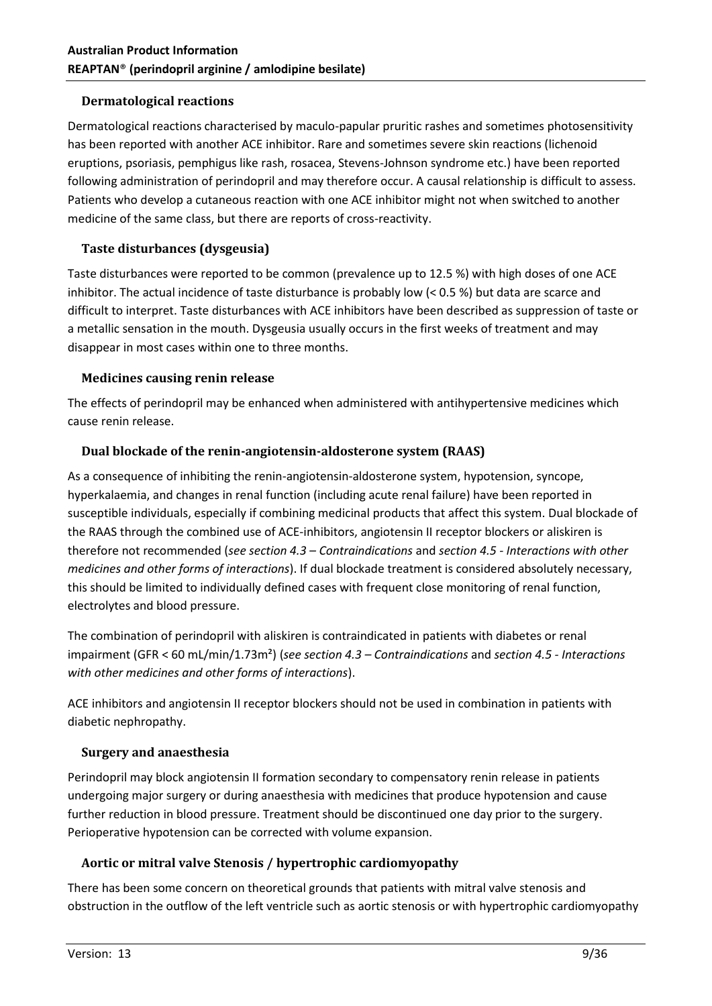## **Dermatological reactions**

Dermatological reactions characterised by maculo-papular pruritic rashes and sometimes photosensitivity has been reported with another ACE inhibitor. Rare and sometimes severe skin reactions (lichenoid eruptions, psoriasis, pemphigus like rash, rosacea, Stevens-Johnson syndrome etc.) have been reported following administration of perindopril and may therefore occur. A causal relationship is difficult to assess. Patients who develop a cutaneous reaction with one ACE inhibitor might not when switched to another medicine of the same class, but there are reports of cross-reactivity.

## **Taste disturbances (dysgeusia)**

Taste disturbances were reported to be common (prevalence up to 12.5 %) with high doses of one ACE inhibitor. The actual incidence of taste disturbance is probably low (< 0.5 %) but data are scarce and difficult to interpret. Taste disturbances with ACE inhibitors have been described as suppression of taste or a metallic sensation in the mouth. Dysgeusia usually occurs in the first weeks of treatment and may disappear in most cases within one to three months.

#### **Medicines causing renin release**

The effects of perindopril may be enhanced when administered with antihypertensive medicines which cause renin release.

#### **Dual blockade of the renin-angiotensin-aldosterone system (RAAS)**

As a consequence of inhibiting the renin-angiotensin-aldosterone system, hypotension, syncope, hyperkalaemia, and changes in renal function (including acute renal failure) have been reported in susceptible individuals, especially if combining medicinal products that affect this system. Dual blockade of the RAAS through the combined use of ACE-inhibitors, angiotensin II receptor blockers or aliskiren is therefore not recommended (*see section 4.3 – Contraindications* and *section 4.5 - Interactions with other medicines and other forms of interactions*). If dual blockade treatment is considered absolutely necessary, this should be limited to individually defined cases with frequent close monitoring of renal function, electrolytes and blood pressure.

The combination of perindopril with aliskiren is contraindicated in patients with diabetes or renal impairment (GFR < 60 mL/min/1.73m²) (*see section 4.3 – Contraindications* and *section 4.5 - Interactions with other medicines and other forms of interactions*).

ACE inhibitors and angiotensin II receptor blockers should not be used in combination in patients with diabetic nephropathy.

# **Surgery and anaesthesia**

Perindopril may block angiotensin II formation secondary to compensatory renin release in patients undergoing major surgery or during anaesthesia with medicines that produce hypotension and cause further reduction in blood pressure. Treatment should be discontinued one day prior to the surgery. Perioperative hypotension can be corrected with volume expansion.

# **Aortic or mitral valve Stenosis / hypertrophic cardiomyopathy**

There has been some concern on theoretical grounds that patients with mitral valve stenosis and obstruction in the outflow of the left ventricle such as aortic stenosis or with hypertrophic cardiomyopathy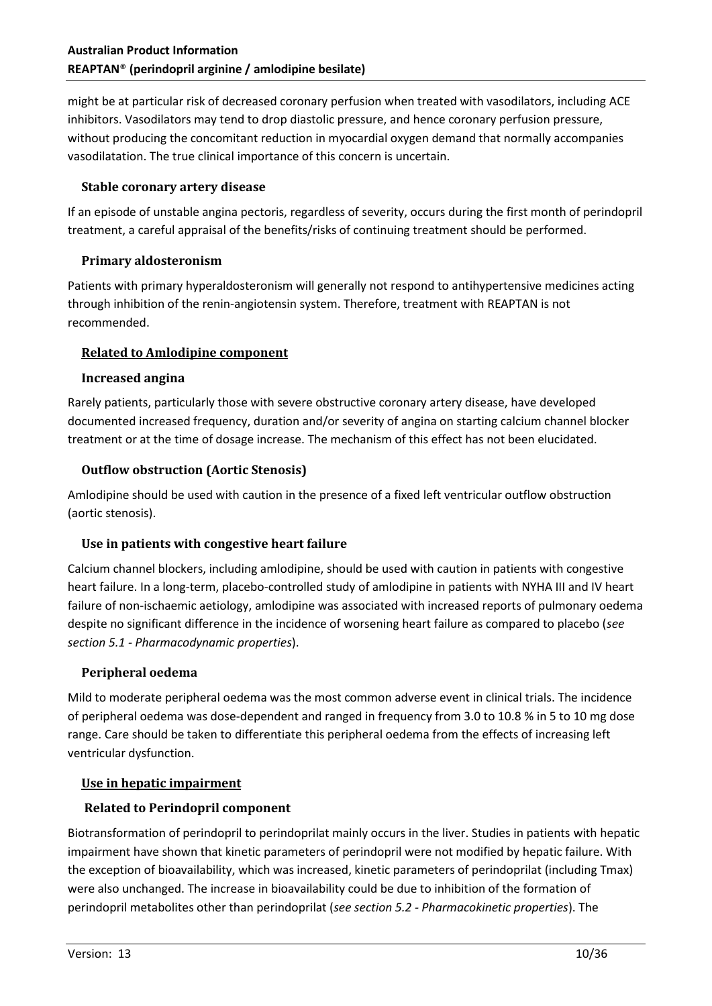might be at particular risk of decreased coronary perfusion when treated with vasodilators, including ACE inhibitors. Vasodilators may tend to drop diastolic pressure, and hence coronary perfusion pressure, without producing the concomitant reduction in myocardial oxygen demand that normally accompanies vasodilatation. The true clinical importance of this concern is uncertain.

#### **Stable coronary artery disease**

If an episode of unstable angina pectoris, regardless of severity, occurs during the first month of perindopril treatment, a careful appraisal of the benefits/risks of continuing treatment should be performed.

#### **Primary aldosteronism**

Patients with primary hyperaldosteronism will generally not respond to antihypertensive medicines acting through inhibition of the renin-angiotensin system. Therefore, treatment with REAPTAN is not recommended.

#### **Related to Amlodipine component**

#### **Increased angina**

Rarely patients, particularly those with severe obstructive coronary artery disease, have developed documented increased frequency, duration and/or severity of angina on starting calcium channel blocker treatment or at the time of dosage increase. The mechanism of this effect has not been elucidated.

#### **Outflow obstruction (Aortic Stenosis)**

Amlodipine should be used with caution in the presence of a fixed left ventricular outflow obstruction (aortic stenosis).

#### **Use in patients with congestive heart failure**

Calcium channel blockers, including amlodipine, should be used with caution in patients with congestive heart failure. In a long-term, placebo-controlled study of amlodipine in patients with NYHA III and IV heart failure of non-ischaemic aetiology, amlodipine was associated with increased reports of pulmonary oedema despite no significant difference in the incidence of worsening heart failure as compared to placebo (*see section 5.1 - Pharmacodynamic properties*).

#### **Peripheral oedema**

Mild to moderate peripheral oedema was the most common adverse event in clinical trials. The incidence of peripheral oedema was dose-dependent and ranged in frequency from 3.0 to 10.8 % in 5 to 10 mg dose range. Care should be taken to differentiate this peripheral oedema from the effects of increasing left ventricular dysfunction.

#### **Use in hepatic impairment**

# **Related to Perindopril component**

Biotransformation of perindopril to perindoprilat mainly occurs in the liver. Studies in patients with hepatic impairment have shown that kinetic parameters of perindopril were not modified by hepatic failure. With the exception of bioavailability, which was increased, kinetic parameters of perindoprilat (including Tmax) were also unchanged. The increase in bioavailability could be due to inhibition of the formation of perindopril metabolites other than perindoprilat (*see section 5.2 - Pharmacokinetic properties*). The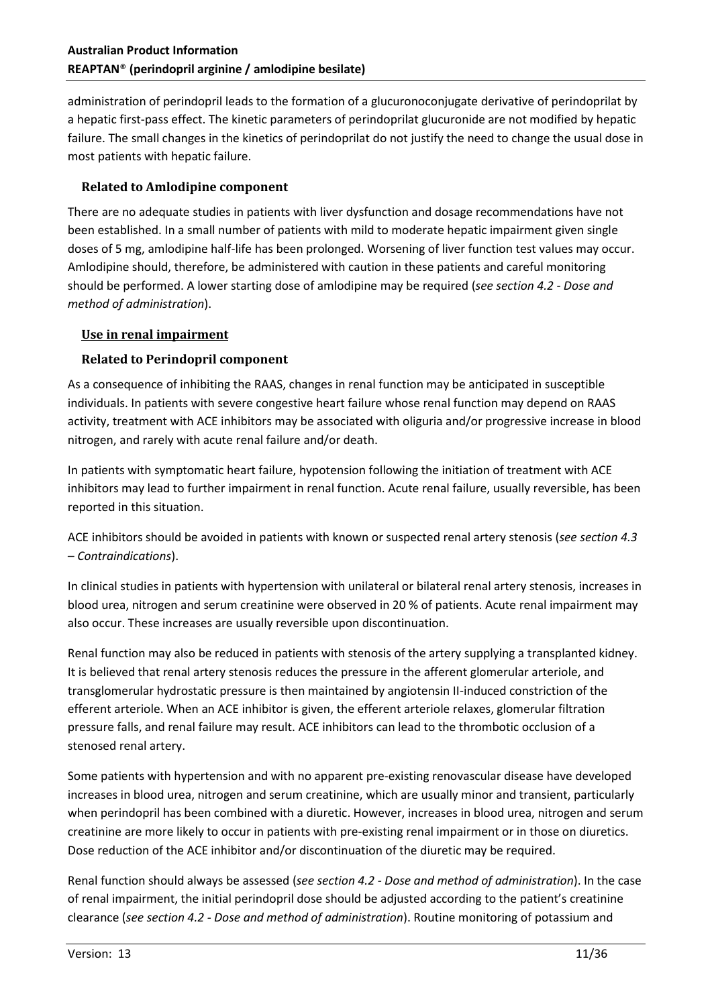administration of perindopril leads to the formation of a glucuronoconjugate derivative of perindoprilat by a hepatic first-pass effect. The kinetic parameters of perindoprilat glucuronide are not modified by hepatic failure. The small changes in the kinetics of perindoprilat do not justify the need to change the usual dose in most patients with hepatic failure.

# **Related to Amlodipine component**

There are no adequate studies in patients with liver dysfunction and dosage recommendations have not been established. In a small number of patients with mild to moderate hepatic impairment given single doses of 5 mg, amlodipine half-life has been prolonged. Worsening of liver function test values may occur. Amlodipine should, therefore, be administered with caution in these patients and careful monitoring should be performed. A lower starting dose of amlodipine may be required (*see section 4.2 - Dose and method of administration*).

# **Use in renal impairment**

# **Related to Perindopril component**

As a consequence of inhibiting the RAAS, changes in renal function may be anticipated in susceptible individuals. In patients with severe congestive heart failure whose renal function may depend on RAAS activity, treatment with ACE inhibitors may be associated with oliguria and/or progressive increase in blood nitrogen, and rarely with acute renal failure and/or death.

In patients with symptomatic heart failure, hypotension following the initiation of treatment with ACE inhibitors may lead to further impairment in renal function. Acute renal failure, usually reversible, has been reported in this situation.

ACE inhibitors should be avoided in patients with known or suspected renal artery stenosis (*see section 4.3 – Contraindications*).

In clinical studies in patients with hypertension with unilateral or bilateral renal artery stenosis, increases in blood urea, nitrogen and serum creatinine were observed in 20 % of patients. Acute renal impairment may also occur. These increases are usually reversible upon discontinuation.

Renal function may also be reduced in patients with stenosis of the artery supplying a transplanted kidney. It is believed that renal artery stenosis reduces the pressure in the afferent glomerular arteriole, and transglomerular hydrostatic pressure is then maintained by angiotensin II-induced constriction of the efferent arteriole. When an ACE inhibitor is given, the efferent arteriole relaxes, glomerular filtration pressure falls, and renal failure may result. ACE inhibitors can lead to the thrombotic occlusion of a stenosed renal artery.

Some patients with hypertension and with no apparent pre-existing renovascular disease have developed increases in blood urea, nitrogen and serum creatinine, which are usually minor and transient, particularly when perindopril has been combined with a diuretic. However, increases in blood urea, nitrogen and serum creatinine are more likely to occur in patients with pre-existing renal impairment or in those on diuretics. Dose reduction of the ACE inhibitor and/or discontinuation of the diuretic may be required.

Renal function should always be assessed (*see section 4.2 - Dose and method of administration*). In the case of renal impairment, the initial perindopril dose should be adjusted according to the patient's creatinine clearance (*see section 4.2 - Dose and method of administration*). Routine monitoring of potassium and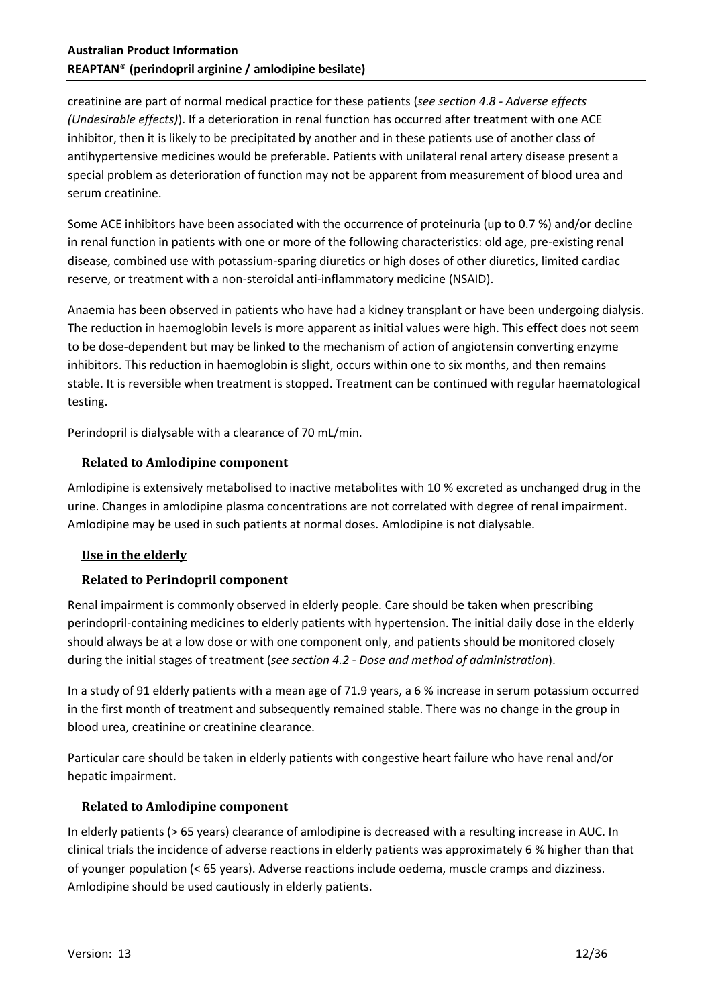creatinine are part of normal medical practice for these patients (*see section 4.8 - Adverse effects (Undesirable effects)*). If a deterioration in renal function has occurred after treatment with one ACE inhibitor, then it is likely to be precipitated by another and in these patients use of another class of antihypertensive medicines would be preferable. Patients with unilateral renal artery disease present a special problem as deterioration of function may not be apparent from measurement of blood urea and serum creatinine.

Some ACE inhibitors have been associated with the occurrence of proteinuria (up to 0.7 %) and/or decline in renal function in patients with one or more of the following characteristics: old age, pre-existing renal disease, combined use with potassium-sparing diuretics or high doses of other diuretics, limited cardiac reserve, or treatment with a non-steroidal anti-inflammatory medicine (NSAID).

Anaemia has been observed in patients who have had a kidney transplant or have been undergoing dialysis. The reduction in haemoglobin levels is more apparent as initial values were high. This effect does not seem to be dose-dependent but may be linked to the mechanism of action of angiotensin converting enzyme inhibitors. This reduction in haemoglobin is slight, occurs within one to six months, and then remains stable. It is reversible when treatment is stopped. Treatment can be continued with regular haematological testing.

Perindopril is dialysable with a clearance of 70 mL/min.

# **Related to Amlodipine component**

Amlodipine is extensively metabolised to inactive metabolites with 10 % excreted as unchanged drug in the urine. Changes in amlodipine plasma concentrations are not correlated with degree of renal impairment. Amlodipine may be used in such patients at normal doses. Amlodipine is not dialysable.

# **Use in the elderly**

# **Related to Perindopril component**

Renal impairment is commonly observed in elderly people. Care should be taken when prescribing perindopril-containing medicines to elderly patients with hypertension. The initial daily dose in the elderly should always be at a low dose or with one component only, and patients should be monitored closely during the initial stages of treatment (*see section 4.2 - Dose and method of administration*).

In a study of 91 elderly patients with a mean age of 71.9 years, a 6 % increase in serum potassium occurred in the first month of treatment and subsequently remained stable. There was no change in the group in blood urea, creatinine or creatinine clearance.

Particular care should be taken in elderly patients with congestive heart failure who have renal and/or hepatic impairment.

#### **Related to Amlodipine component**

In elderly patients (> 65 years) clearance of amlodipine is decreased with a resulting increase in AUC. In clinical trials the incidence of adverse reactions in elderly patients was approximately 6 % higher than that of younger population (< 65 years). Adverse reactions include oedema, muscle cramps and dizziness. Amlodipine should be used cautiously in elderly patients.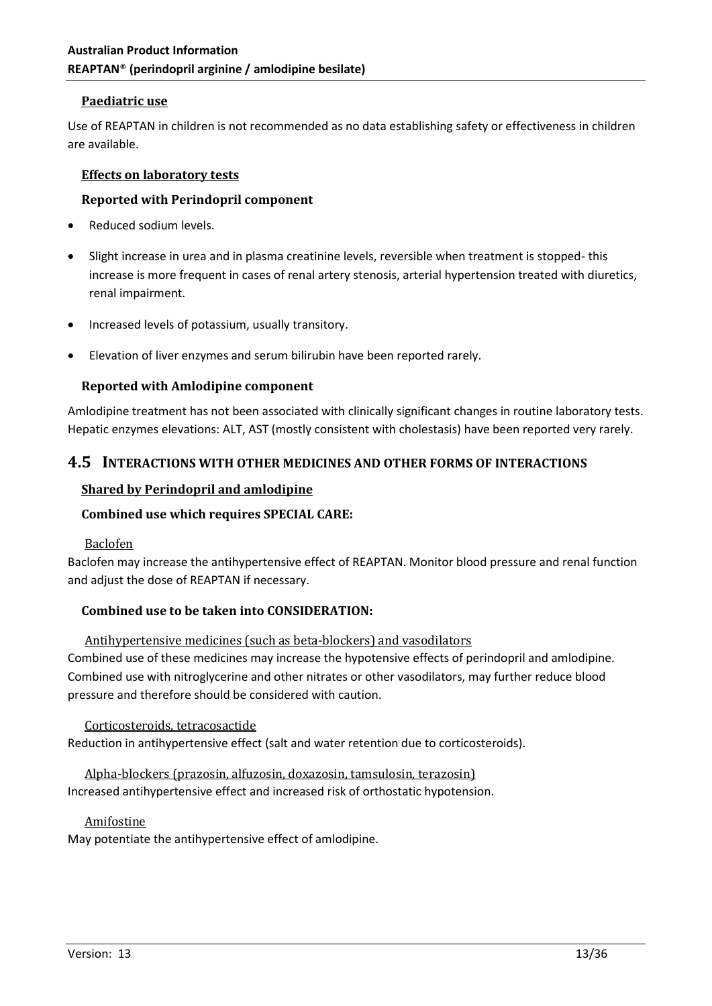#### **Paediatric use**

Use of REAPTAN in children is not recommended as no data establishing safety or effectiveness in children are available.

#### **Effects on laboratory tests**

#### **Reported with Perindopril component**

- Reduced sodium levels.
- Slight increase in urea and in plasma creatinine levels, reversible when treatment is stopped- this increase is more frequent in cases of renal artery stenosis, arterial hypertension treated with diuretics, renal impairment.
- Increased levels of potassium, usually transitory.
- Elevation of liver enzymes and serum bilirubin have been reported rarely.

#### **Reported with Amlodipine component**

Amlodipine treatment has not been associated with clinically significant changes in routine laboratory tests. Hepatic enzymes elevations: ALT, AST (mostly consistent with cholestasis) have been reported very rarely.

# **4.5 INTERACTIONS WITH OTHER MEDICINES AND OTHER FORMS OF INTERACTIONS**

#### **Shared by Perindopril and amlodipine**

# **Combined use which requires SPECIAL CARE:**

#### Baclofen

Baclofen may increase the antihypertensive effect of REAPTAN. Monitor blood pressure and renal function and adjust the dose of REAPTAN if necessary.

#### **Combined use to be taken into CONSIDERATION:**

Antihypertensive medicines (such as beta-blockers) and vasodilators Combined use of these medicines may increase the hypotensive effects of perindopril and amlodipine. Combined use with nitroglycerine and other nitrates or other vasodilators, may further reduce blood pressure and therefore should be considered with caution.

Corticosteroids, tetracosactide Reduction in antihypertensive effect (salt and water retention due to corticosteroids).

# Alpha-blockers (prazosin, alfuzosin, doxazosin, tamsulosin, terazosin)

Increased antihypertensive effect and increased risk of orthostatic hypotension.

#### Amifostine

May potentiate the antihypertensive effect of amlodipine.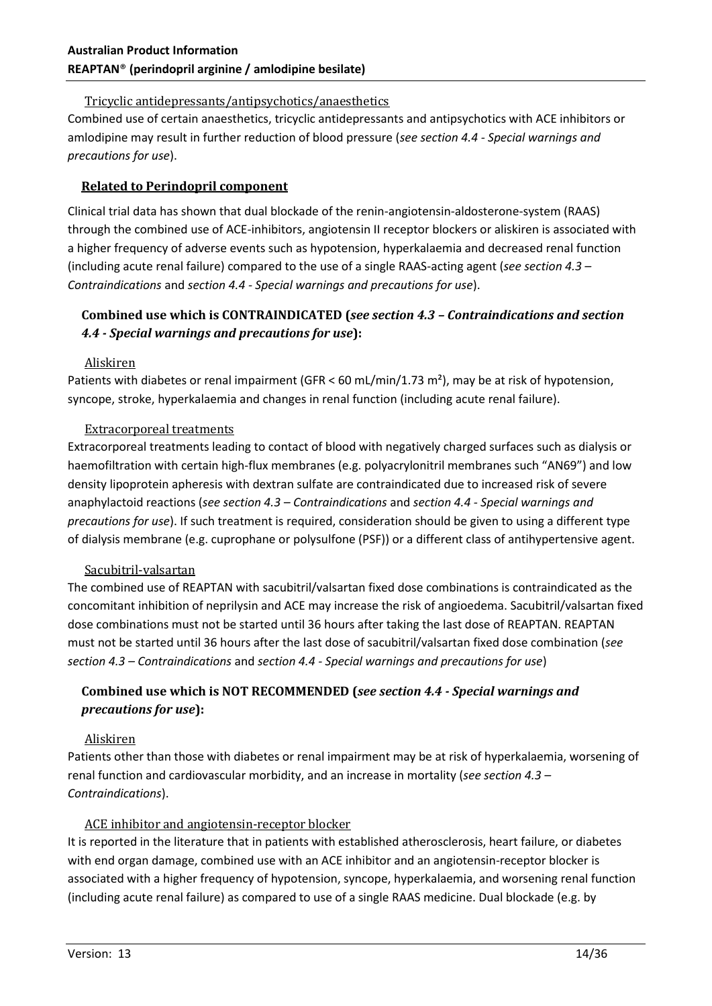# Tricyclic antidepressants/antipsychotics/anaesthetics

Combined use of certain anaesthetics, tricyclic antidepressants and antipsychotics with ACE inhibitors or amlodipine may result in further reduction of blood pressure (*see section 4.4 - Special warnings and precautions for use*).

# **Related to Perindopril component**

Clinical trial data has shown that dual blockade of the renin-angiotensin-aldosterone-system (RAAS) through the combined use of ACE-inhibitors, angiotensin II receptor blockers or aliskiren is associated with a higher frequency of adverse events such as hypotension, hyperkalaemia and decreased renal function (including acute renal failure) compared to the use of a single RAAS-acting agent (*see section 4.3 – Contraindications* and *section 4.4 - Special warnings and precautions for use*).

# **Combined use which is CONTRAINDICATED (***see section 4.3 – Contraindications and section 4.4 - Special warnings and precautions for use***):**

# Aliskiren

Patients with diabetes or renal impairment (GFR < 60 mL/min/1.73 m<sup>2</sup>), may be at risk of hypotension, syncope, stroke, hyperkalaemia and changes in renal function (including acute renal failure).

#### Extracorporeal treatments

Extracorporeal treatments leading to contact of blood with negatively charged surfaces such as dialysis or haemofiltration with certain high-flux membranes (e.g. polyacrylonitril membranes such "AN69") and low density lipoprotein apheresis with dextran sulfate are contraindicated due to increased risk of severe anaphylactoid reactions (*see section 4.3 – Contraindications* and *section 4.4 - Special warnings and precautions for use*). If such treatment is required, consideration should be given to using a different type of dialysis membrane (e.g. cuprophane or polysulfone (PSF)) or a different class of antihypertensive agent.

# Sacubitril-valsartan

The combined use of REAPTAN with sacubitril/valsartan fixed dose combinations is contraindicated as the concomitant inhibition of neprilysin and ACE may increase the risk of angioedema. Sacubitril/valsartan fixed dose combinations must not be started until 36 hours after taking the last dose of REAPTAN. REAPTAN must not be started until 36 hours after the last dose of sacubitril/valsartan fixed dose combination (*see section 4.3 – Contraindications* and *section 4.4 - Special warnings and precautions for use*)

# **Combined use which is NOT RECOMMENDED (***see section 4.4 - Special warnings and precautions for use***):**

#### Aliskiren

Patients other than those with diabetes or renal impairment may be at risk of hyperkalaemia, worsening of renal function and cardiovascular morbidity, and an increase in mortality (*see section 4.3 – Contraindications*).

# ACE inhibitor and angiotensin-receptor blocker

It is reported in the literature that in patients with established atherosclerosis, heart failure, or diabetes with end organ damage, combined use with an ACE inhibitor and an angiotensin-receptor blocker is associated with a higher frequency of hypotension, syncope, hyperkalaemia, and worsening renal function (including acute renal failure) as compared to use of a single RAAS medicine. Dual blockade (e.g. by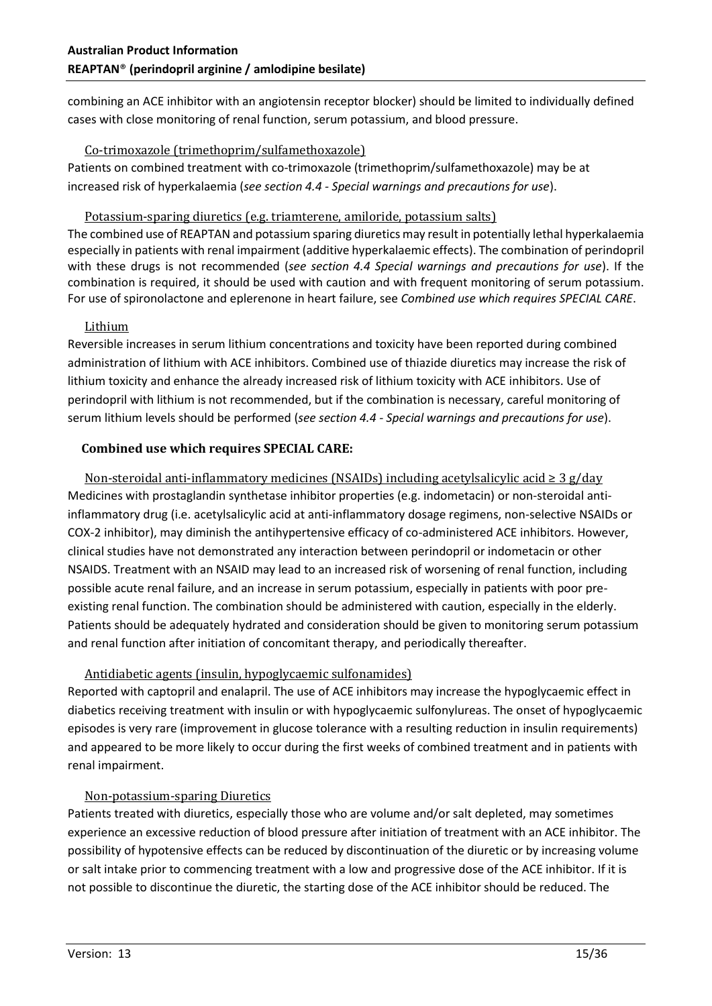combining an ACE inhibitor with an angiotensin receptor blocker) should be limited to individually defined cases with close monitoring of renal function, serum potassium, and blood pressure.

## Co-trimoxazole (trimethoprim/sulfamethoxazole)

Patients on combined treatment with co-trimoxazole (trimethoprim/sulfamethoxazole) may be at increased risk of hyperkalaemia (*see section 4.4 - Special warnings and precautions for use*).

# Potassium-sparing diuretics (e.g. triamterene, amiloride, potassium salts)

The combined use of REAPTAN and potassium sparing diuretics may result in potentially lethal hyperkalaemia especially in patients with renal impairment (additive hyperkalaemic effects). The combination of perindopril with these drugs is not recommended (*see section 4.4 Special warnings and precautions for use*). If the combination is required, it should be used with caution and with frequent monitoring of serum potassium. For use of spironolactone and eplerenone in heart failure, see *Combined use which requires SPECIAL CARE*.

# Lithium

Reversible increases in serum lithium concentrations and toxicity have been reported during combined administration of lithium with ACE inhibitors. Combined use of thiazide diuretics may increase the risk of lithium toxicity and enhance the already increased risk of lithium toxicity with ACE inhibitors. Use of perindopril with lithium is not recommended, but if the combination is necessary, careful monitoring of serum lithium levels should be performed (*see section 4.4 - Special warnings and precautions for use*).

# **Combined use which requires SPECIAL CARE:**

Non-steroidal anti-inflammatory medicines (NSAIDs) including acetylsalicylic acid ≥ 3 g/day Medicines with prostaglandin synthetase inhibitor properties (e.g. indometacin) or non-steroidal antiinflammatory drug (i.e. acetylsalicylic acid at anti-inflammatory dosage regimens, non-selective NSAIDs or COX-2 inhibitor), may diminish the antihypertensive efficacy of co-administered ACE inhibitors. However, clinical studies have not demonstrated any interaction between perindopril or indometacin or other NSAIDS. Treatment with an NSAID may lead to an increased risk of worsening of renal function, including possible acute renal failure, and an increase in serum potassium, especially in patients with poor preexisting renal function. The combination should be administered with caution, especially in the elderly. Patients should be adequately hydrated and consideration should be given to monitoring serum potassium and renal function after initiation of concomitant therapy, and periodically thereafter.

# Antidiabetic agents (insulin, hypoglycaemic sulfonamides)

Reported with captopril and enalapril. The use of ACE inhibitors may increase the hypoglycaemic effect in diabetics receiving treatment with insulin or with hypoglycaemic sulfonylureas. The onset of hypoglycaemic episodes is very rare (improvement in glucose tolerance with a resulting reduction in insulin requirements) and appeared to be more likely to occur during the first weeks of combined treatment and in patients with renal impairment.

# Non-potassium-sparing Diuretics

Patients treated with diuretics, especially those who are volume and/or salt depleted, may sometimes experience an excessive reduction of blood pressure after initiation of treatment with an ACE inhibitor. The possibility of hypotensive effects can be reduced by discontinuation of the diuretic or by increasing volume or salt intake prior to commencing treatment with a low and progressive dose of the ACE inhibitor. If it is not possible to discontinue the diuretic, the starting dose of the ACE inhibitor should be reduced. The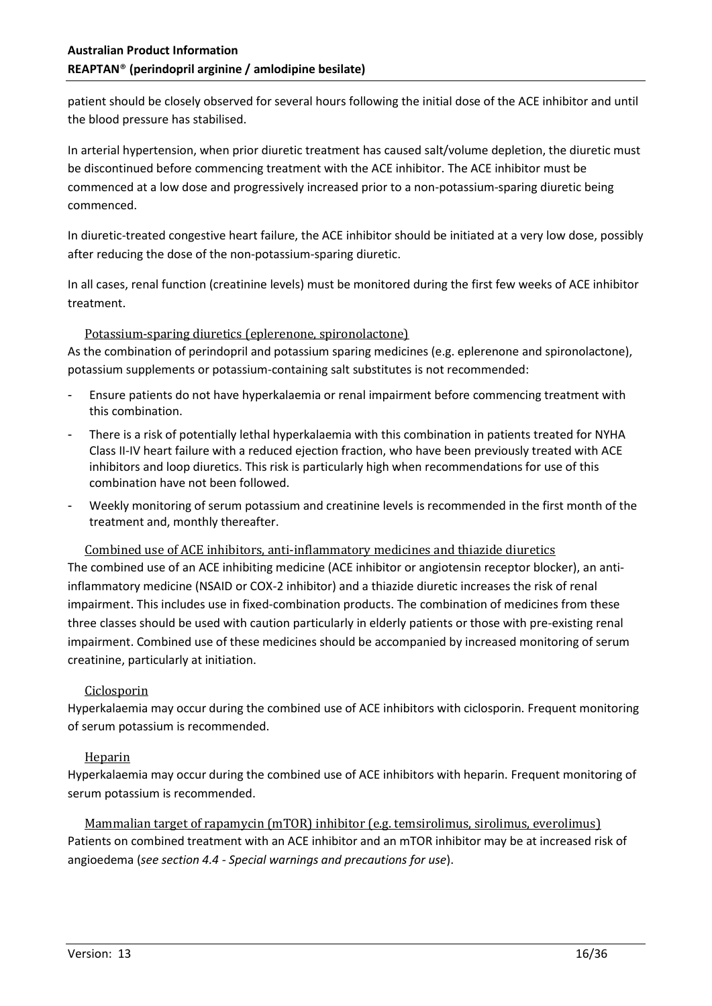patient should be closely observed for several hours following the initial dose of the ACE inhibitor and until the blood pressure has stabilised.

In arterial hypertension, when prior diuretic treatment has caused salt/volume depletion, the diuretic must be discontinued before commencing treatment with the ACE inhibitor. The ACE inhibitor must be commenced at a low dose and progressively increased prior to a non-potassium-sparing diuretic being commenced.

In diuretic-treated congestive heart failure, the ACE inhibitor should be initiated at a very low dose, possibly after reducing the dose of the non-potassium-sparing diuretic.

In all cases, renal function (creatinine levels) must be monitored during the first few weeks of ACE inhibitor treatment.

#### Potassium-sparing diuretics (eplerenone, spironolactone)

As the combination of perindopril and potassium sparing medicines (e.g. eplerenone and spironolactone), potassium supplements or potassium-containing salt substitutes is not recommended:

- Ensure patients do not have hyperkalaemia or renal impairment before commencing treatment with this combination.
- There is a risk of potentially lethal hyperkalaemia with this combination in patients treated for NYHA Class II-IV heart failure with a reduced ejection fraction, who have been previously treated with ACE inhibitors and loop diuretics. This risk is particularly high when recommendations for use of this combination have not been followed.
- Weekly monitoring of serum potassium and creatinine levels is recommended in the first month of the treatment and, monthly thereafter.

Combined use of ACE inhibitors, anti-inflammatory medicines and thiazide diuretics

The combined use of an ACE inhibiting medicine (ACE inhibitor or angiotensin receptor blocker), an antiinflammatory medicine (NSAID or COX-2 inhibitor) and a thiazide diuretic increases the risk of renal impairment. This includes use in fixed-combination products. The combination of medicines from these three classes should be used with caution particularly in elderly patients or those with pre-existing renal impairment. Combined use of these medicines should be accompanied by increased monitoring of serum creatinine, particularly at initiation.

#### Ciclosporin

Hyperkalaemia may occur during the combined use of ACE inhibitors with ciclosporin. Frequent monitoring of serum potassium is recommended.

# Heparin

Hyperkalaemia may occur during the combined use of ACE inhibitors with heparin. Frequent monitoring of serum potassium is recommended.

Mammalian target of rapamycin (mTOR) inhibitor (e.g. temsirolimus, sirolimus, everolimus) Patients on combined treatment with an ACE inhibitor and an mTOR inhibitor may be at increased risk of angioedema (*see section 4.4 - Special warnings and precautions for use*).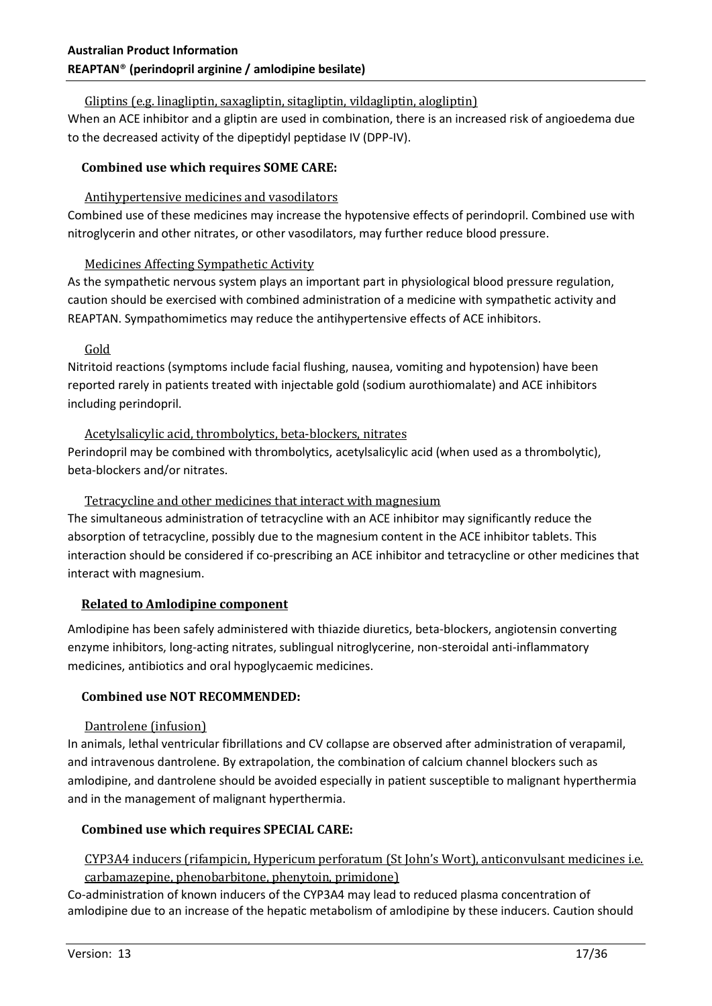# Gliptins (e.g. linagliptin, saxagliptin, sitagliptin, vildagliptin, alogliptin)

When an ACE inhibitor and a gliptin are used in combination, there is an increased risk of angioedema due to the decreased activity of the dipeptidyl peptidase IV (DPP-IV).

#### **Combined use which requires SOME CARE:**

#### Antihypertensive medicines and vasodilators

Combined use of these medicines may increase the hypotensive effects of perindopril. Combined use with nitroglycerin and other nitrates, or other vasodilators, may further reduce blood pressure.

#### Medicines Affecting Sympathetic Activity

As the sympathetic nervous system plays an important part in physiological blood pressure regulation, caution should be exercised with combined administration of a medicine with sympathetic activity and REAPTAN. Sympathomimetics may reduce the antihypertensive effects of ACE inhibitors.

#### Gold

Nitritoid reactions (symptoms include facial flushing, nausea, vomiting and hypotension) have been reported rarely in patients treated with injectable gold (sodium aurothiomalate) and ACE inhibitors including perindopril.

#### Acetylsalicylic acid, thrombolytics, beta-blockers, nitrates

Perindopril may be combined with thrombolytics, acetylsalicylic acid (when used as a thrombolytic), beta-blockers and/or nitrates.

#### Tetracycline and other medicines that interact with magnesium

The simultaneous administration of tetracycline with an ACE inhibitor may significantly reduce the absorption of tetracycline, possibly due to the magnesium content in the ACE inhibitor tablets. This interaction should be considered if co-prescribing an ACE inhibitor and tetracycline or other medicines that interact with magnesium.

#### **Related to Amlodipine component**

Amlodipine has been safely administered with thiazide diuretics, beta-blockers, angiotensin converting enzyme inhibitors, long-acting nitrates, sublingual nitroglycerine, non-steroidal anti-inflammatory medicines, antibiotics and oral hypoglycaemic medicines.

# **Combined use NOT RECOMMENDED:**

#### Dantrolene (infusion)

In animals, lethal ventricular fibrillations and CV collapse are observed after administration of verapamil, and intravenous dantrolene. By extrapolation, the combination of calcium channel blockers such as amlodipine, and dantrolene should be avoided especially in patient susceptible to malignant hyperthermia and in the management of malignant hyperthermia.

# **Combined use which requires SPECIAL CARE:**

#### CYP3A4 inducers (rifampicin, Hypericum perforatum (St John's Wort), anticonvulsant medicines i.e. carbamazepine, phenobarbitone, phenytoin, primidone)

Co-administration of known inducers of the CYP3A4 may lead to reduced plasma concentration of amlodipine due to an increase of the hepatic metabolism of amlodipine by these inducers. Caution should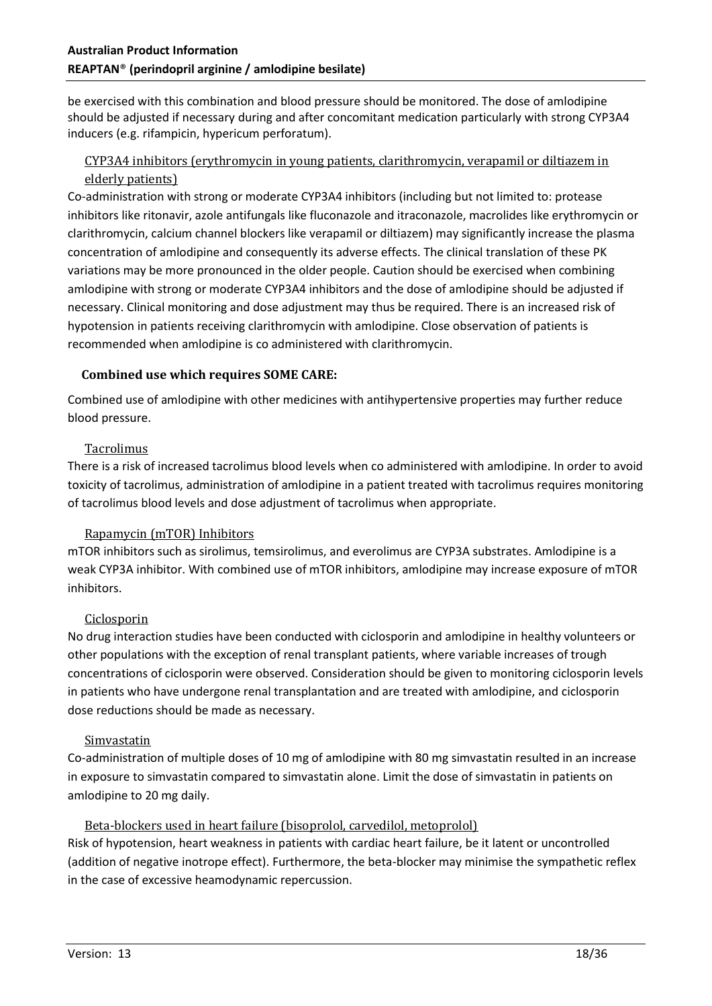be exercised with this combination and blood pressure should be monitored. The dose of amlodipine should be adjusted if necessary during and after concomitant medication particularly with strong CYP3A4 inducers (e.g. rifampicin, hypericum perforatum).

# CYP3A4 inhibitors (erythromycin in young patients, clarithromycin, verapamil or diltiazem in elderly patients)

Co-administration with strong or moderate CYP3A4 inhibitors (including but not limited to: protease inhibitors like ritonavir, azole antifungals like fluconazole and itraconazole, macrolides like erythromycin or clarithromycin, calcium channel blockers like verapamil or diltiazem) may significantly increase the plasma concentration of amlodipine and consequently its adverse effects. The clinical translation of these PK variations may be more pronounced in the older people. Caution should be exercised when combining amlodipine with strong or moderate CYP3A4 inhibitors and the dose of amlodipine should be adjusted if necessary. Clinical monitoring and dose adjustment may thus be required. There is an increased risk of hypotension in patients receiving clarithromycin with amlodipine. Close observation of patients is recommended when amlodipine is co administered with clarithromycin.

#### **Combined use which requires SOME CARE:**

Combined use of amlodipine with other medicines with antihypertensive properties may further reduce blood pressure.

# Tacrolimus

There is a risk of increased tacrolimus blood levels when co administered with amlodipine. In order to avoid toxicity of tacrolimus, administration of amlodipine in a patient treated with tacrolimus requires monitoring of tacrolimus blood levels and dose adjustment of tacrolimus when appropriate.

#### Rapamycin (mTOR) Inhibitors

mTOR inhibitors such as sirolimus, temsirolimus, and everolimus are CYP3A substrates. Amlodipine is a weak CYP3A inhibitor. With combined use of mTOR inhibitors, amlodipine may increase exposure of mTOR inhibitors.

#### **Ciclosporin**

No drug interaction studies have been conducted with ciclosporin and amlodipine in healthy volunteers or other populations with the exception of renal transplant patients, where variable increases of trough concentrations of ciclosporin were observed. Consideration should be given to monitoring ciclosporin levels in patients who have undergone renal transplantation and are treated with amlodipine, and ciclosporin dose reductions should be made as necessary.

#### Simvastatin

Co-administration of multiple doses of 10 mg of amlodipine with 80 mg simvastatin resulted in an increase in exposure to simvastatin compared to simvastatin alone. Limit the dose of simvastatin in patients on amlodipine to 20 mg daily.

# Beta-blockers used in heart failure (bisoprolol, carvedilol, metoprolol)

Risk of hypotension, heart weakness in patients with cardiac heart failure, be it latent or uncontrolled (addition of negative inotrope effect). Furthermore, the beta-blocker may minimise the sympathetic reflex in the case of excessive heamodynamic repercussion.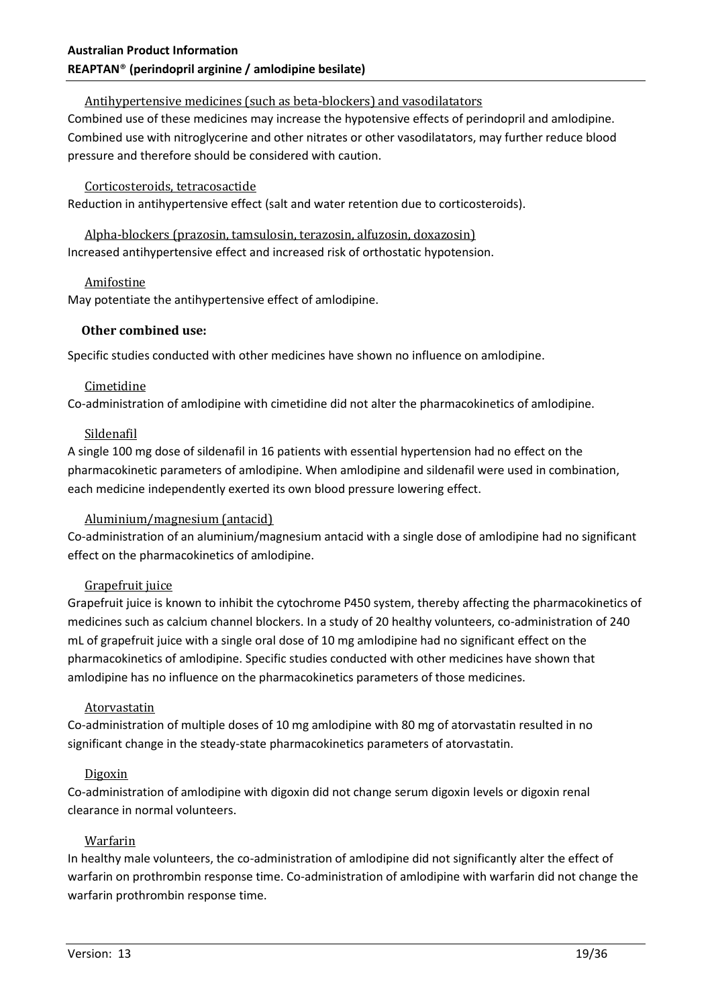### Antihypertensive medicines (such as beta-blockers) and vasodilatators

Combined use of these medicines may increase the hypotensive effects of perindopril and amlodipine. Combined use with nitroglycerine and other nitrates or other vasodilatators, may further reduce blood pressure and therefore should be considered with caution.

#### Corticosteroids, tetracosactide

Reduction in antihypertensive effect (salt and water retention due to corticosteroids).

Alpha-blockers (prazosin, tamsulosin, terazosin, alfuzosin, doxazosin) Increased antihypertensive effect and increased risk of orthostatic hypotension.

#### Amifostine

May potentiate the antihypertensive effect of amlodipine.

#### **Other combined use:**

Specific studies conducted with other medicines have shown no influence on amlodipine.

#### Cimetidine

Co-administration of amlodipine with cimetidine did not alter the pharmacokinetics of amlodipine.

#### Sildenafil

A single 100 mg dose of sildenafil in 16 patients with essential hypertension had no effect on the pharmacokinetic parameters of amlodipine. When amlodipine and sildenafil were used in combination, each medicine independently exerted its own blood pressure lowering effect.

# Aluminium/magnesium (antacid)

Co-administration of an aluminium/magnesium antacid with a single dose of amlodipine had no significant effect on the pharmacokinetics of amlodipine.

#### Grapefruit juice

Grapefruit juice is known to inhibit the cytochrome P450 system, thereby affecting the pharmacokinetics of medicines such as calcium channel blockers. In a study of 20 healthy volunteers, co-administration of 240 mL of grapefruit juice with a single oral dose of 10 mg amlodipine had no significant effect on the pharmacokinetics of amlodipine. Specific studies conducted with other medicines have shown that amlodipine has no influence on the pharmacokinetics parameters of those medicines.

# **Atorvastatin**

Co-administration of multiple doses of 10 mg amlodipine with 80 mg of atorvastatin resulted in no significant change in the steady-state pharmacokinetics parameters of atorvastatin.

# Digoxin

Co-administration of amlodipine with digoxin did not change serum digoxin levels or digoxin renal clearance in normal volunteers.

#### Warfarin

In healthy male volunteers, the co-administration of amlodipine did not significantly alter the effect of warfarin on prothrombin response time. Co-administration of amlodipine with warfarin did not change the warfarin prothrombin response time.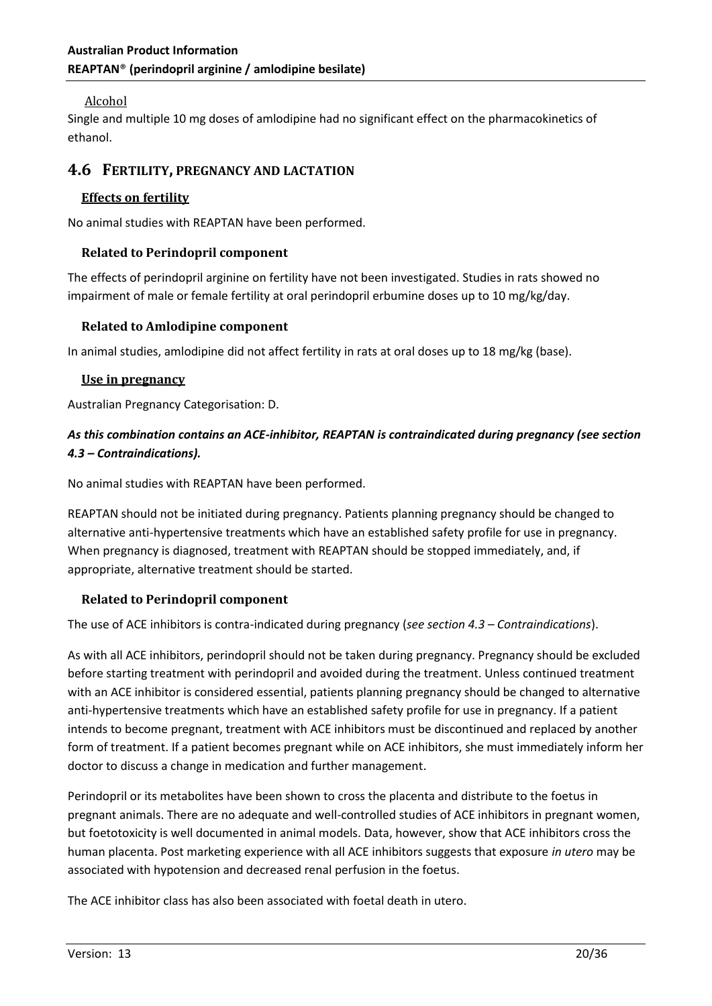## Alcohol

Single and multiple 10 mg doses of amlodipine had no significant effect on the pharmacokinetics of ethanol.

# **4.6 FERTILITY, PREGNANCY AND LACTATION**

#### **Effects on fertility**

No animal studies with REAPTAN have been performed.

#### **Related to Perindopril component**

The effects of perindopril arginine on fertility have not been investigated. Studies in rats showed no impairment of male or female fertility at oral perindopril erbumine doses up to 10 mg/kg/day.

#### **Related to Amlodipine component**

In animal studies, amlodipine did not affect fertility in rats at oral doses up to 18 mg/kg (base).

#### **Use in pregnancy**

Australian Pregnancy Categorisation: D.

# *As this combination contains an ACE-inhibitor, REAPTAN is contraindicated during pregnancy (see section 4.3 – Contraindications).*

No animal studies with REAPTAN have been performed.

REAPTAN should not be initiated during pregnancy. Patients planning pregnancy should be changed to alternative anti-hypertensive treatments which have an established safety profile for use in pregnancy. When pregnancy is diagnosed, treatment with REAPTAN should be stopped immediately, and, if appropriate, alternative treatment should be started.

#### **Related to Perindopril component**

The use of ACE inhibitors is contra-indicated during pregnancy (*see section 4.3 – Contraindications*).

As with all ACE inhibitors, perindopril should not be taken during pregnancy. Pregnancy should be excluded before starting treatment with perindopril and avoided during the treatment. Unless continued treatment with an ACE inhibitor is considered essential, patients planning pregnancy should be changed to alternative anti-hypertensive treatments which have an established safety profile for use in pregnancy. If a patient intends to become pregnant, treatment with ACE inhibitors must be discontinued and replaced by another form of treatment. If a patient becomes pregnant while on ACE inhibitors, she must immediately inform her doctor to discuss a change in medication and further management.

Perindopril or its metabolites have been shown to cross the placenta and distribute to the foetus in pregnant animals. There are no adequate and well-controlled studies of ACE inhibitors in pregnant women, but foetotoxicity is well documented in animal models. Data, however, show that ACE inhibitors cross the human placenta. Post marketing experience with all ACE inhibitors suggests that exposure *in utero* may be associated with hypotension and decreased renal perfusion in the foetus.

The ACE inhibitor class has also been associated with foetal death in utero.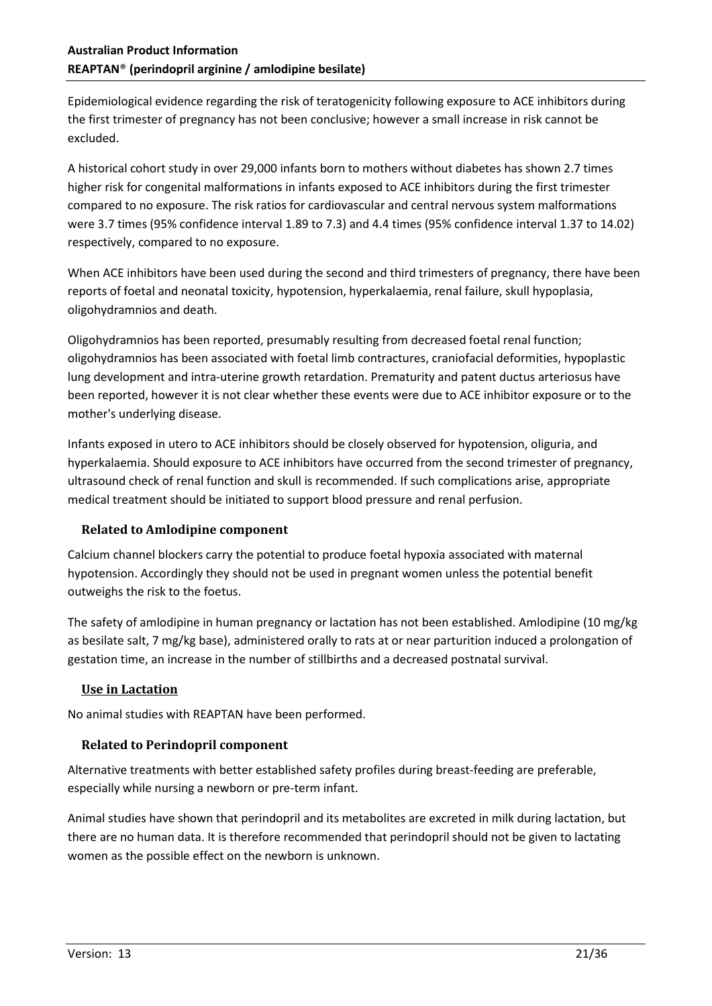Epidemiological evidence regarding the risk of teratogenicity following exposure to ACE inhibitors during the first trimester of pregnancy has not been conclusive; however a small increase in risk cannot be excluded.

A historical cohort study in over 29,000 infants born to mothers without diabetes has shown 2.7 times higher risk for congenital malformations in infants exposed to ACE inhibitors during the first trimester compared to no exposure. The risk ratios for cardiovascular and central nervous system malformations were 3.7 times (95% confidence interval 1.89 to 7.3) and 4.4 times (95% confidence interval 1.37 to 14.02) respectively, compared to no exposure.

When ACE inhibitors have been used during the second and third trimesters of pregnancy, there have been reports of foetal and neonatal toxicity, hypotension, hyperkalaemia, renal failure, skull hypoplasia, oligohydramnios and death.

Oligohydramnios has been reported, presumably resulting from decreased foetal renal function; oligohydramnios has been associated with foetal limb contractures, craniofacial deformities, hypoplastic lung development and intra-uterine growth retardation. Prematurity and patent ductus arteriosus have been reported, however it is not clear whether these events were due to ACE inhibitor exposure or to the mother's underlying disease.

Infants exposed in utero to ACE inhibitors should be closely observed for hypotension, oliguria, and hyperkalaemia. Should exposure to ACE inhibitors have occurred from the second trimester of pregnancy, ultrasound check of renal function and skull is recommended. If such complications arise, appropriate medical treatment should be initiated to support blood pressure and renal perfusion.

# **Related to Amlodipine component**

Calcium channel blockers carry the potential to produce foetal hypoxia associated with maternal hypotension. Accordingly they should not be used in pregnant women unless the potential benefit outweighs the risk to the foetus.

The safety of amlodipine in human pregnancy or lactation has not been established. Amlodipine (10 mg/kg as besilate salt, 7 mg/kg base), administered orally to rats at or near parturition induced a prolongation of gestation time, an increase in the number of stillbirths and a decreased postnatal survival.

# **Use in Lactation**

No animal studies with REAPTAN have been performed.

# **Related to Perindopril component**

Alternative treatments with better established safety profiles during breast-feeding are preferable, especially while nursing a newborn or pre-term infant.

Animal studies have shown that perindopril and its metabolites are excreted in milk during lactation, but there are no human data. It is therefore recommended that perindopril should not be given to lactating women as the possible effect on the newborn is unknown.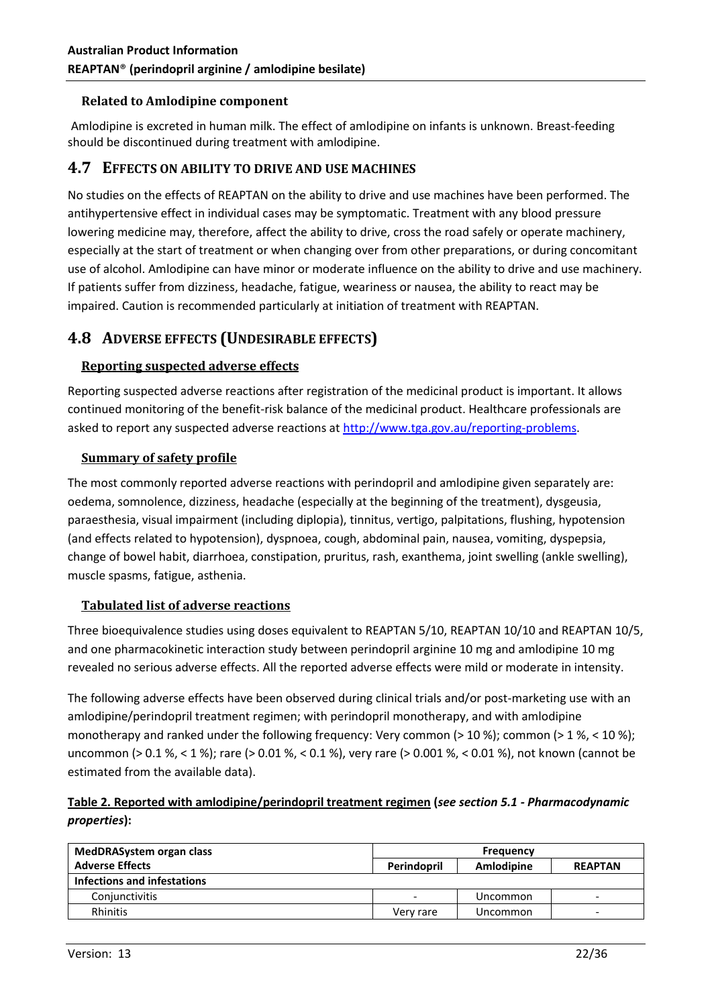#### **Related to Amlodipine component**

Amlodipine is excreted in human milk. The effect of amlodipine on infants is unknown. Breast-feeding should be discontinued during treatment with amlodipine.

# **4.7 EFFECTS ON ABILITY TO DRIVE AND USE MACHINES**

No studies on the effects of REAPTAN on the ability to drive and use machines have been performed. The antihypertensive effect in individual cases may be symptomatic. Treatment with any blood pressure lowering medicine may, therefore, affect the ability to drive, cross the road safely or operate machinery, especially at the start of treatment or when changing over from other preparations, or during concomitant use of alcohol. Amlodipine can have minor or moderate influence on the ability to drive and use machinery. If patients suffer from dizziness, headache, fatigue, weariness or nausea, the ability to react may be impaired. Caution is recommended particularly at initiation of treatment with REAPTAN.

# **4.8 ADVERSE EFFECTS (UNDESIRABLE EFFECTS)**

#### **Reporting suspected adverse effects**

Reporting suspected adverse reactions after registration of the medicinal product is important. It allows continued monitoring of the benefit-risk balance of the medicinal product. Healthcare professionals are asked to report any suspected adverse reactions at [http://www.tga.gov.au/reporting-problems.](http://www.tga.gov.au/reporting-problems)

#### **Summary of safety profile**

The most commonly reported adverse reactions with perindopril and amlodipine given separately are: oedema, somnolence, dizziness, headache (especially at the beginning of the treatment), dysgeusia, paraesthesia, visual impairment (including diplopia), tinnitus, vertigo, palpitations, flushing, hypotension (and effects related to hypotension), dyspnoea, cough, abdominal pain, nausea, vomiting, dyspepsia, change of bowel habit, diarrhoea, constipation, pruritus, rash, exanthema, joint swelling (ankle swelling), muscle spasms, fatigue, asthenia.

# **Tabulated list of adverse reactions**

Three bioequivalence studies using doses equivalent to REAPTAN 5/10, REAPTAN 10/10 and REAPTAN 10/5, and one pharmacokinetic interaction study between perindopril arginine 10 mg and amlodipine 10 mg revealed no serious adverse effects. All the reported adverse effects were mild or moderate in intensity.

The following adverse effects have been observed during clinical trials and/or post-marketing use with an amlodipine/perindopril treatment regimen; with perindopril monotherapy, and with amlodipine monotherapy and ranked under the following frequency: Very common (> 10 %); common (> 1 %, < 10 %); uncommon (> 0.1 %, < 1 %); rare (> 0.01 %, < 0.1 %), very rare (> 0.001 %, < 0.01 %), not known (cannot be estimated from the available data).

# **Table 2. Reported with amlodipine/perindopril treatment regimen (***see section 5.1 - Pharmacodynamic properties***):**

| MedDRASystem organ class    | <b>Frequency</b>         |            |                |
|-----------------------------|--------------------------|------------|----------------|
| <b>Adverse Effects</b>      | Perindopril              | Amlodipine | <b>REAPTAN</b> |
| Infections and infestations |                          |            |                |
| Conjunctivitis              | $\overline{\phantom{0}}$ | Uncommon   | -              |
| Rhinitis                    | Verv rare                | Uncommon   |                |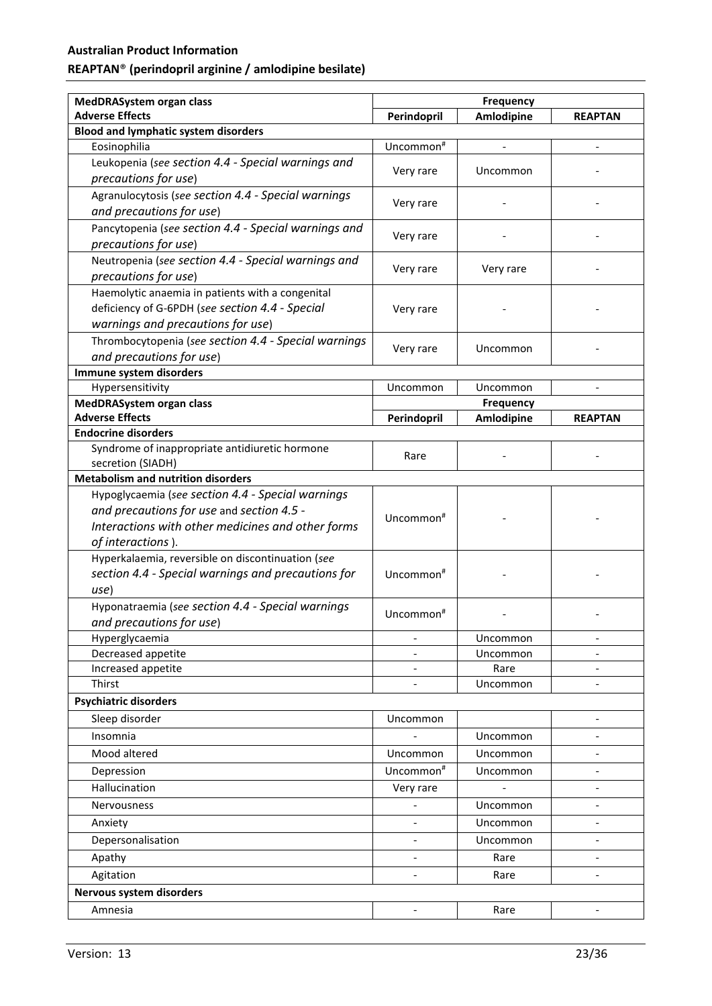# **Australian Product Information**

# **REAPTAN**® **(perindopril arginine / amlodipine besilate)**

| MedDRASystem organ class                             | <b>Frequency</b>             |                  |                              |
|------------------------------------------------------|------------------------------|------------------|------------------------------|
| <b>Adverse Effects</b>                               | Perindopril                  | Amlodipine       | <b>REAPTAN</b>               |
| <b>Blood and lymphatic system disorders</b>          |                              |                  |                              |
| Eosinophilia                                         | Uncommon#                    |                  |                              |
| Leukopenia (see section 4.4 - Special warnings and   |                              |                  |                              |
| precautions for use)                                 | Very rare                    | Uncommon         |                              |
| Agranulocytosis (see section 4.4 - Special warnings  |                              |                  |                              |
| and precautions for use)                             | Very rare                    |                  |                              |
| Pancytopenia (see section 4.4 - Special warnings and |                              |                  |                              |
| precautions for use)                                 | Very rare                    |                  |                              |
| Neutropenia (see section 4.4 - Special warnings and  |                              |                  |                              |
| precautions for use)                                 | Very rare                    | Very rare        |                              |
| Haemolytic anaemia in patients with a congenital     |                              |                  |                              |
| deficiency of G-6PDH (see section 4.4 - Special      | Very rare                    |                  |                              |
| warnings and precautions for use)                    |                              |                  |                              |
| Thrombocytopenia (see section 4.4 - Special warnings |                              | Uncommon         |                              |
| and precautions for use)                             | Very rare                    |                  |                              |
| Immune system disorders                              |                              |                  |                              |
| Hypersensitivity                                     | Uncommon                     | Uncommon         |                              |
| MedDRASystem organ class                             |                              | <b>Frequency</b> |                              |
| <b>Adverse Effects</b>                               | Perindopril                  | Amlodipine       | <b>REAPTAN</b>               |
| <b>Endocrine disorders</b>                           |                              |                  |                              |
| Syndrome of inappropriate antidiuretic hormone       | Rare                         |                  |                              |
| secretion (SIADH)                                    |                              |                  |                              |
| <b>Metabolism and nutrition disorders</b>            |                              |                  |                              |
| Hypoglycaemia (see section 4.4 - Special warnings    |                              |                  |                              |
| and precautions for use and section 4.5 -            | Uncommon <sup>#</sup>        |                  |                              |
| Interactions with other medicines and other forms    |                              |                  |                              |
| of interactions).                                    |                              |                  |                              |
| Hyperkalaemia, reversible on discontinuation (see    |                              |                  |                              |
| section 4.4 - Special warnings and precautions for   | Uncommon <sup>#</sup>        |                  |                              |
| use)                                                 |                              |                  |                              |
| Hyponatraemia (see section 4.4 - Special warnings    | Uncommon <sup>#</sup>        |                  |                              |
| and precautions for use)                             |                              |                  |                              |
| Hyperglycaemia                                       |                              | Uncommon         |                              |
| Decreased appetite                                   |                              | Uncommon         |                              |
| Increased appetite                                   |                              | Rare             | $\overline{a}$               |
| Thirst                                               |                              | Uncommon         |                              |
| <b>Psychiatric disorders</b>                         |                              |                  |                              |
| Sleep disorder                                       | Uncommon                     |                  |                              |
| Insomnia                                             |                              | Uncommon         | $\qquad \qquad \blacksquare$ |
| Mood altered                                         | Uncommon                     | Uncommon         | $\overline{a}$               |
| Depression                                           | Uncommon <sup>#</sup>        | Uncommon         | $\overline{a}$               |
| Hallucination                                        | Very rare                    |                  | $\overline{a}$               |
| <b>Nervousness</b>                                   |                              | Uncommon         |                              |
| Anxiety                                              |                              | Uncommon         | $\overline{a}$               |
| Depersonalisation                                    |                              | Uncommon         |                              |
| Apathy                                               | $\qquad \qquad \blacksquare$ | Rare             | $\overline{\phantom{0}}$     |
| Agitation                                            | $\overline{\phantom{a}}$     | Rare             | $\overline{\phantom{a}}$     |
| Nervous system disorders                             |                              |                  |                              |
|                                                      |                              |                  |                              |
| Amnesia                                              | $\qquad \qquad \blacksquare$ | Rare             |                              |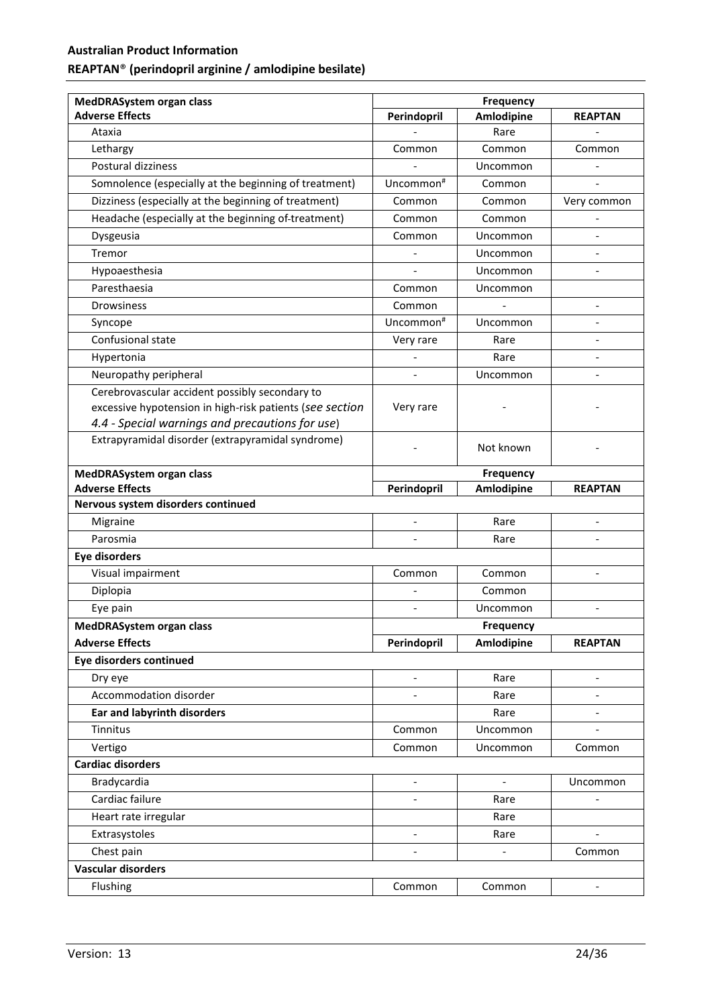| <b>MedDRASystem organ class</b>                          | <b>Frequency</b>             |                              |                          |
|----------------------------------------------------------|------------------------------|------------------------------|--------------------------|
| <b>Adverse Effects</b>                                   | Perindopril                  | Amlodipine                   | <b>REAPTAN</b>           |
| Ataxia                                                   |                              | Rare                         |                          |
| Lethargy                                                 | Common                       | Common                       | Common                   |
| Postural dizziness                                       |                              | Uncommon                     |                          |
| Somnolence (especially at the beginning of treatment)    | Uncommon <sup>#</sup>        | Common                       |                          |
| Dizziness (especially at the beginning of treatment)     | Common                       | Common                       | Very common              |
| Headache (especially at the beginning of-treatment)      | Common                       | Common                       |                          |
| Dysgeusia                                                | Common                       | Uncommon                     |                          |
| Tremor                                                   |                              | Uncommon                     |                          |
| Hypoaesthesia                                            |                              | Uncommon                     |                          |
| Paresthaesia                                             | Common                       | Uncommon                     |                          |
| <b>Drowsiness</b>                                        | Common                       |                              | $\overline{a}$           |
| Syncope                                                  | Uncommon <sup>#</sup>        | Uncommon                     | $\overline{a}$           |
| Confusional state                                        | Very rare                    | Rare                         | $\overline{a}$           |
| Hypertonia                                               |                              | Rare                         |                          |
| Neuropathy peripheral                                    |                              | Uncommon                     |                          |
| Cerebrovascular accident possibly secondary to           |                              |                              |                          |
| excessive hypotension in high-risk patients (see section | Very rare                    |                              |                          |
| 4.4 - Special warnings and precautions for use)          |                              |                              |                          |
| Extrapyramidal disorder (extrapyramidal syndrome)        |                              | Not known                    |                          |
| <b>MedDRASystem organ class</b>                          |                              | <b>Frequency</b>             |                          |
| <b>Adverse Effects</b>                                   | Perindopril                  | Amlodipine                   | <b>REAPTAN</b>           |
| Nervous system disorders continued                       |                              |                              |                          |
| Migraine                                                 | $\frac{1}{2}$                | Rare                         | $\overline{a}$           |
| Parosmia                                                 |                              | Rare                         |                          |
| <b>Eye disorders</b>                                     |                              |                              |                          |
| Visual impairment                                        | Common                       | Common                       | $\overline{\phantom{a}}$ |
| Diplopia                                                 |                              | Common                       |                          |
| Eye pain                                                 | $\qquad \qquad \blacksquare$ | Uncommon                     | $\overline{a}$           |
| MedDRASystem organ class                                 |                              | Frequency                    |                          |
| <b>Adverse Effects</b>                                   | Perindopril                  | Amlodipine                   | <b>REAPTAN</b>           |
| Eye disorders continued                                  |                              |                              |                          |
| Dry eye                                                  | $\overline{\phantom{a}}$     | Rare                         | $\overline{a}$           |
| Accommodation disorder                                   | $\overline{\phantom{a}}$     | Rare                         | $\overline{a}$           |
| <b>Ear and labyrinth disorders</b>                       |                              | Rare                         | $\overline{\phantom{a}}$ |
| Tinnitus                                                 | Common                       | Uncommon                     | $\overline{a}$           |
| Vertigo                                                  | Common                       | Uncommon                     | Common                   |
| <b>Cardiac disorders</b>                                 |                              |                              |                          |
| Bradycardia                                              |                              | $\overline{a}$               | Uncommon                 |
| Cardiac failure                                          | $\overline{\phantom{a}}$     | Rare                         | $\overline{a}$           |
| Heart rate irregular                                     |                              | Rare                         |                          |
| Extrasystoles                                            | $\overline{a}$               | Rare                         |                          |
| Chest pain                                               | $\overline{\phantom{a}}$     | $\qquad \qquad \blacksquare$ | Common                   |
| <b>Vascular disorders</b>                                |                              |                              |                          |
| Flushing                                                 | Common                       | Common                       | $\overline{\phantom{0}}$ |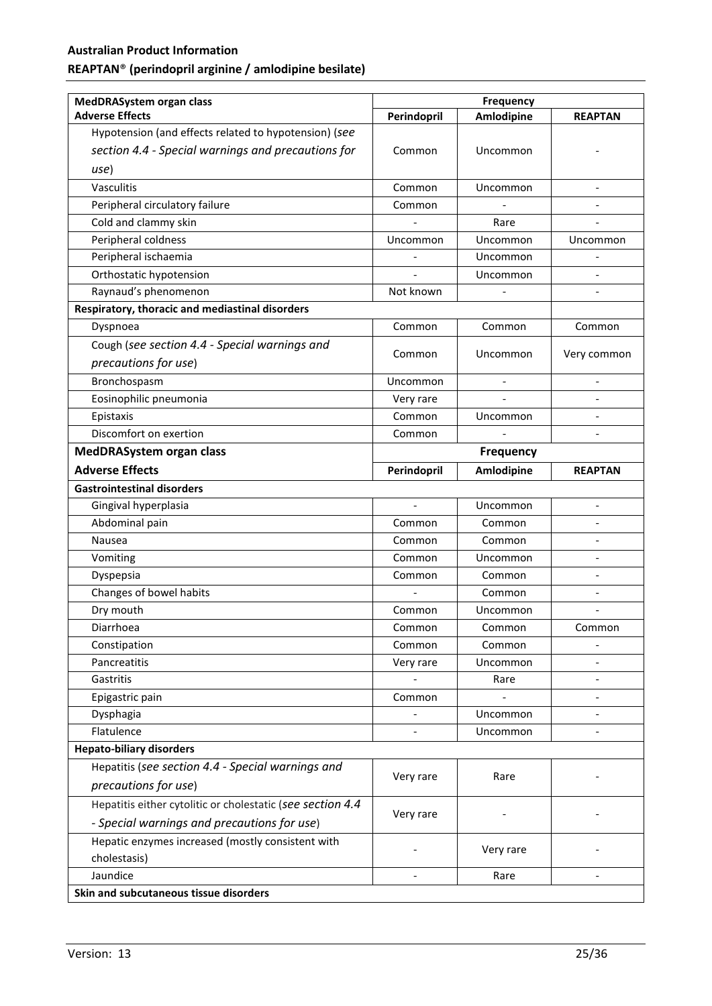| <b>MedDRASystem organ class</b>                            | <b>Frequency</b> |                   |                          |
|------------------------------------------------------------|------------------|-------------------|--------------------------|
| <b>Adverse Effects</b>                                     | Perindopril      | <b>Amlodipine</b> | <b>REAPTAN</b>           |
| Hypotension (and effects related to hypotension) (see      |                  |                   |                          |
| section 4.4 - Special warnings and precautions for         | Common           | Uncommon          |                          |
| use)                                                       |                  |                   |                          |
| Vasculitis                                                 | Common           | Uncommon          | $\overline{a}$           |
| Peripheral circulatory failure                             | Common           |                   | $\overline{a}$           |
| Cold and clammy skin                                       |                  | Rare              |                          |
| Peripheral coldness                                        | Uncommon         | Uncommon          | Uncommon                 |
| Peripheral ischaemia                                       |                  | Uncommon          |                          |
| Orthostatic hypotension                                    |                  | Uncommon          |                          |
| Raynaud's phenomenon                                       | Not known        |                   |                          |
| Respiratory, thoracic and mediastinal disorders            |                  |                   |                          |
| Dyspnoea                                                   | Common           | Common            | Common                   |
| Cough (see section 4.4 - Special warnings and              |                  |                   |                          |
| precautions for use)                                       | Common           | Uncommon          | Very common              |
| Bronchospasm                                               | Uncommon         |                   |                          |
| Eosinophilic pneumonia                                     | Very rare        |                   |                          |
| Epistaxis                                                  | Common           | Uncommon          |                          |
| Discomfort on exertion                                     | Common           |                   |                          |
| <b>MedDRASystem organ class</b>                            | <b>Frequency</b> |                   |                          |
| <b>Adverse Effects</b>                                     | Perindopril      | Amlodipine        | <b>REAPTAN</b>           |
| <b>Gastrointestinal disorders</b>                          |                  |                   |                          |
| Gingival hyperplasia                                       | $\overline{a}$   | Uncommon          | $\overline{a}$           |
| Abdominal pain                                             | Common           | Common            |                          |
| Nausea                                                     | Common           | Common            |                          |
| Vomiting                                                   | Common           | Uncommon          |                          |
| Dyspepsia                                                  | Common           | Common            |                          |
| Changes of bowel habits                                    |                  | Common            | $\overline{a}$           |
| Dry mouth                                                  | Common           | Uncommon          | $\overline{a}$           |
| Diarrhoea                                                  | Common           | Common            | Common                   |
| Constipation                                               | Common           | Common            |                          |
| Pancreatitis                                               | Very rare        | Uncommon          |                          |
| Gastritis                                                  |                  | Rare              |                          |
| Epigastric pain                                            | Common           |                   | $\overline{a}$           |
| Dysphagia                                                  |                  | Uncommon          | $\overline{\phantom{0}}$ |
| Flatulence                                                 |                  | Uncommon          | $\overline{a}$           |
| <b>Hepato-biliary disorders</b>                            |                  |                   |                          |
| Hepatitis (see section 4.4 - Special warnings and          | Very rare        | Rare              |                          |
| precautions for use)                                       |                  |                   |                          |
| Hepatitis either cytolitic or cholestatic (see section 4.4 |                  |                   |                          |
| - Special warnings and precautions for use)                | Very rare        |                   |                          |
| Hepatic enzymes increased (mostly consistent with          |                  |                   |                          |
| cholestasis)                                               |                  | Very rare         |                          |
| Jaundice                                                   |                  | Rare              |                          |
| Skin and subcutaneous tissue disorders                     |                  |                   |                          |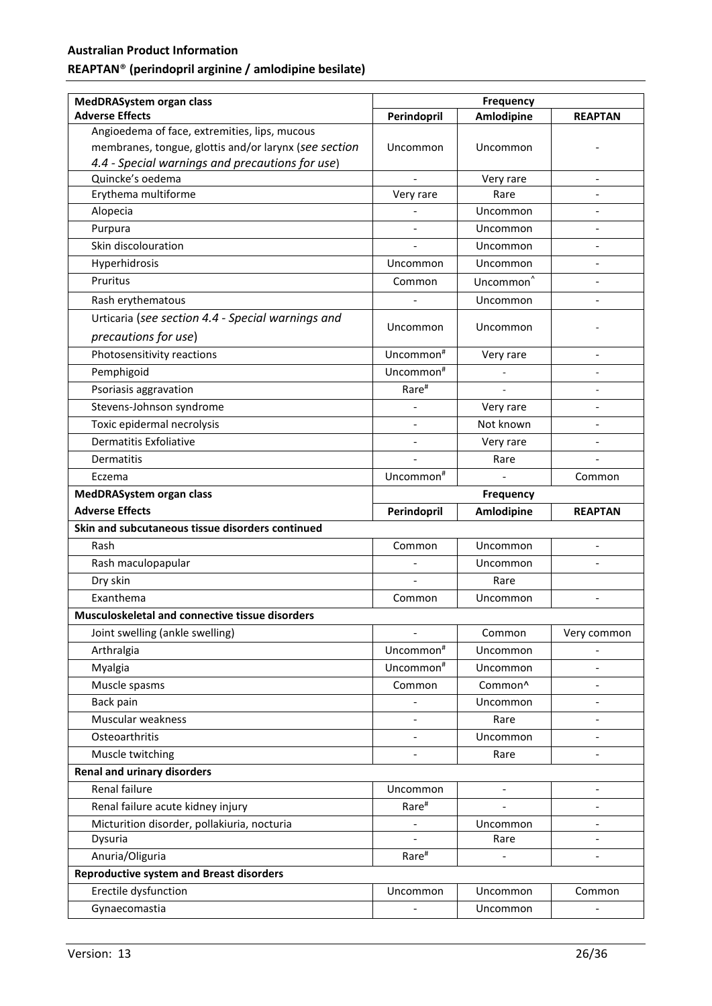| <b>MedDRASystem organ class</b>                       | <b>Frequency</b>         |                       |                              |
|-------------------------------------------------------|--------------------------|-----------------------|------------------------------|
| <b>Adverse Effects</b>                                | Perindopril              | <b>Amlodipine</b>     | <b>REAPTAN</b>               |
| Angioedema of face, extremities, lips, mucous         |                          |                       |                              |
| membranes, tongue, glottis and/or larynx (see section | Uncommon                 | Uncommon              |                              |
| 4.4 - Special warnings and precautions for use)       |                          |                       |                              |
| Quincke's oedema                                      | $\overline{a}$           | Very rare             | $\qquad \qquad \blacksquare$ |
| Erythema multiforme                                   | Very rare                | Rare                  |                              |
| Alopecia                                              |                          | Uncommon              | $\overline{a}$               |
| Purpura                                               | $\overline{\phantom{a}}$ | Uncommon              |                              |
| Skin discolouration                                   |                          | Uncommon              |                              |
| Hyperhidrosis                                         | Uncommon                 | Uncommon              | $\overline{\phantom{a}}$     |
| Pruritus                                              | Common                   | Uncommon <sup>^</sup> | $\overline{\phantom{a}}$     |
| Rash erythematous                                     |                          | Uncommon              |                              |
| Urticaria (see section 4.4 - Special warnings and     |                          |                       |                              |
| precautions for use)                                  | Uncommon                 | Uncommon              |                              |
| Photosensitivity reactions                            | Uncommon <sup>#</sup>    | Very rare             | $\overline{a}$               |
| Pemphigoid                                            | Uncommon <sup>#</sup>    |                       |                              |
|                                                       |                          |                       |                              |
| Psoriasis aggravation                                 | Rare <sup>#</sup>        |                       |                              |
| Stevens-Johnson syndrome                              |                          | Very rare             | $\overline{a}$               |
| Toxic epidermal necrolysis                            |                          | Not known             |                              |
| <b>Dermatitis Exfoliative</b>                         |                          | Very rare             |                              |
| <b>Dermatitis</b>                                     |                          | Rare                  |                              |
| Eczema                                                | Uncommon <sup>#</sup>    | $\overline{a}$        | Common                       |
| <b>MedDRASystem organ class</b>                       |                          | <b>Frequency</b>      |                              |
|                                                       |                          |                       |                              |
| <b>Adverse Effects</b>                                | Perindopril              | <b>Amlodipine</b>     | <b>REAPTAN</b>               |
| Skin and subcutaneous tissue disorders continued      |                          |                       |                              |
| Rash                                                  | Common                   | Uncommon              |                              |
| Rash maculopapular                                    | $\overline{a}$           | Uncommon              | $\overline{a}$               |
| Dry skin                                              |                          | Rare                  |                              |
| Exanthema                                             | Common                   | Uncommon              | $\overline{a}$               |
| Musculoskeletal and connective tissue disorders       |                          |                       |                              |
| Joint swelling (ankle swelling)                       |                          | Common                | Very common                  |
| Arthralgia                                            | Uncommon <sup>#</sup>    | Uncommon              |                              |
| Myalgia                                               | Uncommon <sup>#</sup>    | Uncommon              |                              |
| Muscle spasms                                         | Common                   | Common^               | $\qquad \qquad \blacksquare$ |
|                                                       |                          | Uncommon              | $\overline{a}$               |
| Back pain                                             |                          | Rare                  | $\overline{a}$               |
| Muscular weakness                                     | $\overline{\phantom{a}}$ |                       | $\overline{a}$               |
| Osteoarthritis                                        |                          | Uncommon              |                              |
| Muscle twitching                                      |                          | Rare                  |                              |
| <b>Renal and urinary disorders</b>                    |                          |                       |                              |
| Renal failure                                         | Uncommon                 |                       |                              |
| Renal failure acute kidney injury                     | Rare <sup>#</sup>        |                       |                              |
| Micturition disorder, pollakiuria, nocturia           |                          | Uncommon              | $\overline{a}$               |
| Dysuria                                               |                          | Rare                  |                              |
| Anuria/Oliguria                                       | Rare <sup>#</sup>        |                       | $\overline{a}$               |
| <b>Reproductive system and Breast disorders</b>       |                          |                       |                              |
| Erectile dysfunction<br>Gynaecomastia                 | Uncommon                 | Uncommon<br>Uncommon  | Common                       |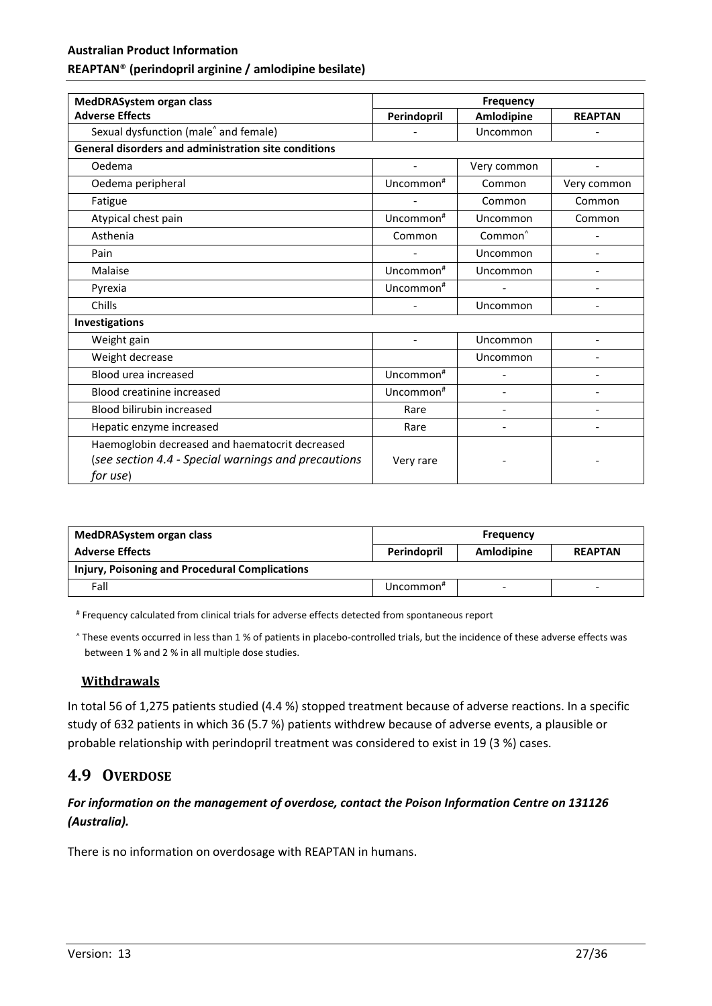# **Australian Product Information**

#### **REAPTAN**® **(perindopril arginine / amlodipine besilate)**

| MedDRASystem organ class                                                                                           | <b>Frequency</b>      |                     |                          |
|--------------------------------------------------------------------------------------------------------------------|-----------------------|---------------------|--------------------------|
| <b>Adverse Effects</b>                                                                                             | Perindopril           | Amlodipine          | <b>REAPTAN</b>           |
| Sexual dysfunction (male <sup>^</sup> and female)                                                                  |                       | Uncommon            |                          |
| General disorders and administration site conditions                                                               |                       |                     |                          |
| Oedema                                                                                                             |                       | Very common         |                          |
| Oedema peripheral                                                                                                  | Uncommon <sup>#</sup> | Common              | Very common              |
| Fatigue                                                                                                            |                       | Common              | Common                   |
| Atypical chest pain                                                                                                | Uncommon <sup>#</sup> | Uncommon            | Common                   |
| Asthenia                                                                                                           | Common                | Common <sup>^</sup> |                          |
| Pain                                                                                                               |                       | Uncommon            |                          |
| Malaise                                                                                                            | Uncommon <sup>#</sup> | Uncommon            | $\overline{\phantom{a}}$ |
| Pyrexia                                                                                                            | Uncommon <sup>#</sup> |                     |                          |
| Chills                                                                                                             |                       | Uncommon            |                          |
| Investigations                                                                                                     |                       |                     |                          |
| Weight gain                                                                                                        |                       | Uncommon            |                          |
| Weight decrease                                                                                                    |                       | Uncommon            |                          |
| Blood urea increased                                                                                               | Uncommon <sup>#</sup> |                     | $\overline{\phantom{a}}$ |
| <b>Blood creatinine increased</b>                                                                                  | Uncommon <sup>#</sup> |                     |                          |
| Blood bilirubin increased                                                                                          | Rare                  |                     |                          |
| Hepatic enzyme increased                                                                                           | Rare                  |                     |                          |
| Haemoglobin decreased and haematocrit decreased<br>(see section 4.4 - Special warnings and precautions<br>for use) | Very rare             |                     |                          |

| MedDRASystem organ class                       |              | <b>Frequency</b>         |                |
|------------------------------------------------|--------------|--------------------------|----------------|
| <b>Adverse Effects</b>                         | Perindopril  | Amlodipine               | <b>REAPTAN</b> |
| Injury, Poisoning and Procedural Complications |              |                          |                |
| Fall                                           | Uncommon $*$ | $\overline{\phantom{a}}$ |                |

# Frequency calculated from clinical trials for adverse effects detected from spontaneous report

^ These events occurred in less than 1 % of patients in placebo-controlled trials, but the incidence of these adverse effects was between 1 % and 2 % in all multiple dose studies.

#### **Withdrawals**

In total 56 of 1,275 patients studied (4.4 %) stopped treatment because of adverse reactions. In a specific study of 632 patients in which 36 (5.7 %) patients withdrew because of adverse events, a plausible or probable relationship with perindopril treatment was considered to exist in 19 (3 %) cases.

# **4.9 OVERDOSE**

# *For information on the management of overdose, contact the Poison Information Centre on 131126 (Australia).*

There is no information on overdosage with REAPTAN in humans.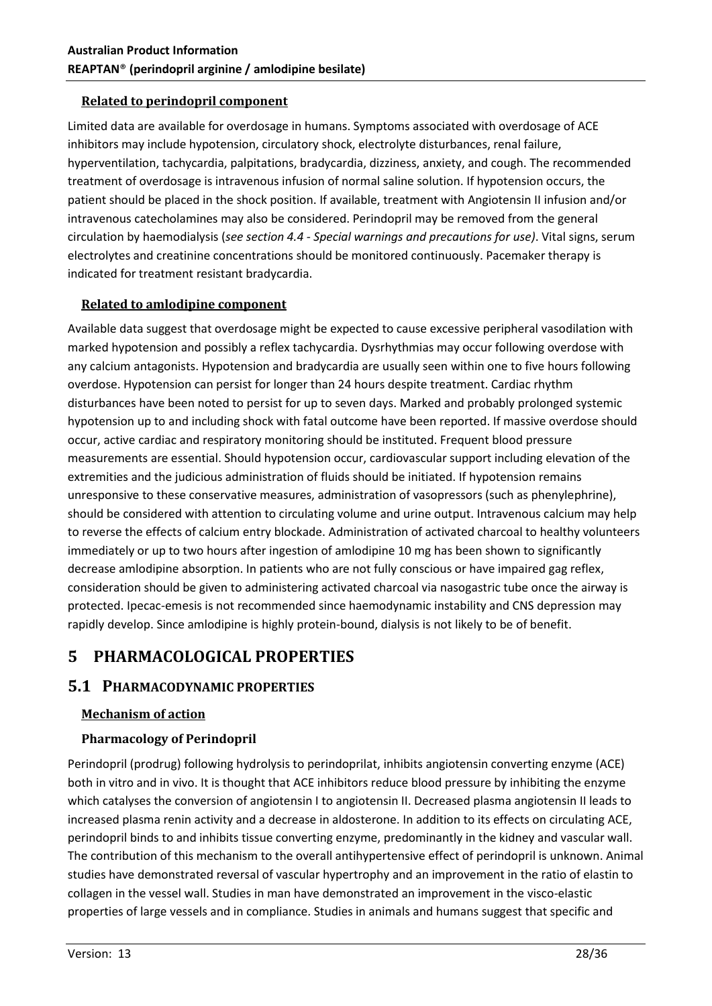# **Related to perindopril component**

Limited data are available for overdosage in humans. Symptoms associated with overdosage of ACE inhibitors may include hypotension, circulatory shock, electrolyte disturbances, renal failure, hyperventilation, tachycardia, palpitations, bradycardia, dizziness, anxiety, and cough. The recommended treatment of overdosage is intravenous infusion of normal saline solution. If hypotension occurs, the patient should be placed in the shock position. If available, treatment with Angiotensin II infusion and/or intravenous catecholamines may also be considered. Perindopril may be removed from the general circulation by haemodialysis (*see section 4.4 - Special warnings and precautions for use)*. Vital signs, serum electrolytes and creatinine concentrations should be monitored continuously. Pacemaker therapy is indicated for treatment resistant bradycardia.

# **Related to amlodipine component**

Available data suggest that overdosage might be expected to cause excessive peripheral vasodilation with marked hypotension and possibly a reflex tachycardia. Dysrhythmias may occur following overdose with any calcium antagonists. Hypotension and bradycardia are usually seen within one to five hours following overdose. Hypotension can persist for longer than 24 hours despite treatment. Cardiac rhythm disturbances have been noted to persist for up to seven days. Marked and probably prolonged systemic hypotension up to and including shock with fatal outcome have been reported. If massive overdose should occur, active cardiac and respiratory monitoring should be instituted. Frequent blood pressure measurements are essential. Should hypotension occur, cardiovascular support including elevation of the extremities and the judicious administration of fluids should be initiated. If hypotension remains unresponsive to these conservative measures, administration of vasopressors (such as phenylephrine), should be considered with attention to circulating volume and urine output. Intravenous calcium may help to reverse the effects of calcium entry blockade. Administration of activated charcoal to healthy volunteers immediately or up to two hours after ingestion of amlodipine 10 mg has been shown to significantly decrease amlodipine absorption. In patients who are not fully conscious or have impaired gag reflex, consideration should be given to administering activated charcoal via nasogastric tube once the airway is protected. Ipecac-emesis is not recommended since haemodynamic instability and CNS depression may rapidly develop. Since amlodipine is highly protein-bound, dialysis is not likely to be of benefit.

# **5 PHARMACOLOGICAL PROPERTIES**

# **5.1 PHARMACODYNAMIC PROPERTIES**

#### **Mechanism of action**

# **Pharmacology of Perindopril**

Perindopril (prodrug) following hydrolysis to perindoprilat, inhibits angiotensin converting enzyme (ACE) both in vitro and in vivo. It is thought that ACE inhibitors reduce blood pressure by inhibiting the enzyme which catalyses the conversion of angiotensin I to angiotensin II. Decreased plasma angiotensin II leads to increased plasma renin activity and a decrease in aldosterone. In addition to its effects on circulating ACE, perindopril binds to and inhibits tissue converting enzyme, predominantly in the kidney and vascular wall. The contribution of this mechanism to the overall antihypertensive effect of perindopril is unknown. Animal studies have demonstrated reversal of vascular hypertrophy and an improvement in the ratio of elastin to collagen in the vessel wall. Studies in man have demonstrated an improvement in the visco-elastic properties of large vessels and in compliance. Studies in animals and humans suggest that specific and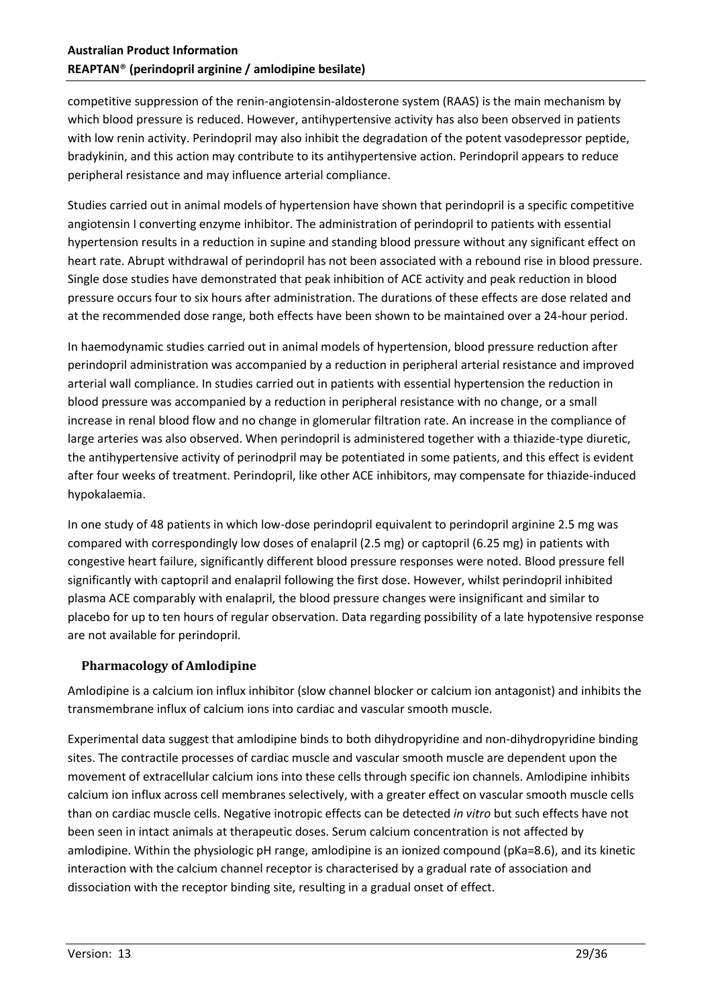competitive suppression of the renin-angiotensin-aldosterone system (RAAS) is the main mechanism by which blood pressure is reduced. However, antihypertensive activity has also been observed in patients with low renin activity. Perindopril may also inhibit the degradation of the potent vasodepressor peptide, bradykinin, and this action may contribute to its antihypertensive action. Perindopril appears to reduce peripheral resistance and may influence arterial compliance.

Studies carried out in animal models of hypertension have shown that perindopril is a specific competitive angiotensin I converting enzyme inhibitor. The administration of perindopril to patients with essential hypertension results in a reduction in supine and standing blood pressure without any significant effect on heart rate. Abrupt withdrawal of perindopril has not been associated with a rebound rise in blood pressure. Single dose studies have demonstrated that peak inhibition of ACE activity and peak reduction in blood pressure occurs four to six hours after administration. The durations of these effects are dose related and at the recommended dose range, both effects have been shown to be maintained over a 24-hour period.

In haemodynamic studies carried out in animal models of hypertension, blood pressure reduction after perindopril administration was accompanied by a reduction in peripheral arterial resistance and improved arterial wall compliance. In studies carried out in patients with essential hypertension the reduction in blood pressure was accompanied by a reduction in peripheral resistance with no change, or a small increase in renal blood flow and no change in glomerular filtration rate. An increase in the compliance of large arteries was also observed. When perindopril is administered together with a thiazide-type diuretic, the antihypertensive activity of perinodpril may be potentiated in some patients, and this effect is evident after four weeks of treatment. Perindopril, like other ACE inhibitors, may compensate for thiazide-induced hypokalaemia.

In one study of 48 patients in which low-dose perindopril equivalent to perindopril arginine 2.5 mg was compared with correspondingly low doses of enalapril (2.5 mg) or captopril (6.25 mg) in patients with congestive heart failure, significantly different blood pressure responses were noted. Blood pressure fell significantly with captopril and enalapril following the first dose. However, whilst perindopril inhibited plasma ACE comparably with enalapril, the blood pressure changes were insignificant and similar to placebo for up to ten hours of regular observation. Data regarding possibility of a late hypotensive response are not available for perindopril.

# **Pharmacology of Amlodipine**

Amlodipine is a calcium ion influx inhibitor (slow channel blocker or calcium ion antagonist) and inhibits the transmembrane influx of calcium ions into cardiac and vascular smooth muscle.

Experimental data suggest that amlodipine binds to both dihydropyridine and non-dihydropyridine binding sites. The contractile processes of cardiac muscle and vascular smooth muscle are dependent upon the movement of extracellular calcium ions into these cells through specific ion channels. Amlodipine inhibits calcium ion influx across cell membranes selectively, with a greater effect on vascular smooth muscle cells than on cardiac muscle cells. Negative inotropic effects can be detected *in vitro* but such effects have not been seen in intact animals at therapeutic doses. Serum calcium concentration is not affected by amlodipine. Within the physiologic pH range, amlodipine is an ionized compound (pKa=8.6), and its kinetic interaction with the calcium channel receptor is characterised by a gradual rate of association and dissociation with the receptor binding site, resulting in a gradual onset of effect.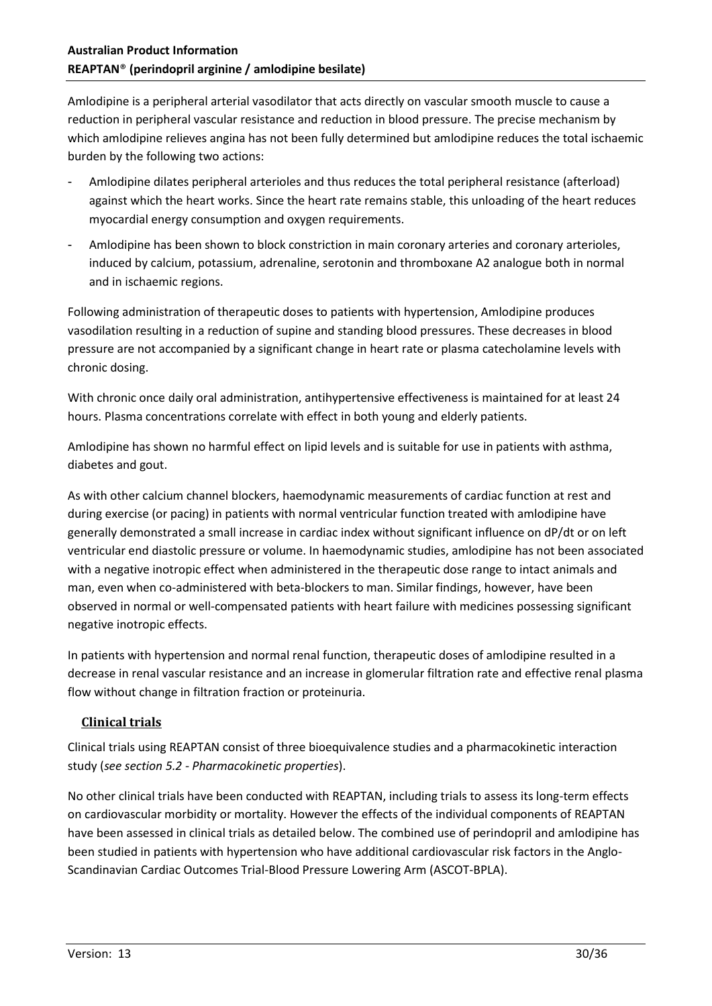Amlodipine is a peripheral arterial vasodilator that acts directly on vascular smooth muscle to cause a reduction in peripheral vascular resistance and reduction in blood pressure. The precise mechanism by which amlodipine relieves angina has not been fully determined but amlodipine reduces the total ischaemic burden by the following two actions:

- Amlodipine dilates peripheral arterioles and thus reduces the total peripheral resistance (afterload) against which the heart works. Since the heart rate remains stable, this unloading of the heart reduces myocardial energy consumption and oxygen requirements.
- Amlodipine has been shown to block constriction in main coronary arteries and coronary arterioles, induced by calcium, potassium, adrenaline, serotonin and thromboxane A2 analogue both in normal and in ischaemic regions.

Following administration of therapeutic doses to patients with hypertension, Amlodipine produces vasodilation resulting in a reduction of supine and standing blood pressures. These decreases in blood pressure are not accompanied by a significant change in heart rate or plasma catecholamine levels with chronic dosing.

With chronic once daily oral administration, antihypertensive effectiveness is maintained for at least 24 hours. Plasma concentrations correlate with effect in both young and elderly patients.

Amlodipine has shown no harmful effect on lipid levels and is suitable for use in patients with asthma, diabetes and gout.

As with other calcium channel blockers, haemodynamic measurements of cardiac function at rest and during exercise (or pacing) in patients with normal ventricular function treated with amlodipine have generally demonstrated a small increase in cardiac index without significant influence on dP/dt or on left ventricular end diastolic pressure or volume. In haemodynamic studies, amlodipine has not been associated with a negative inotropic effect when administered in the therapeutic dose range to intact animals and man, even when co-administered with beta-blockers to man. Similar findings, however, have been observed in normal or well-compensated patients with heart failure with medicines possessing significant negative inotropic effects.

In patients with hypertension and normal renal function, therapeutic doses of amlodipine resulted in a decrease in renal vascular resistance and an increase in glomerular filtration rate and effective renal plasma flow without change in filtration fraction or proteinuria.

# **Clinical trials**

Clinical trials using REAPTAN consist of three bioequivalence studies and a pharmacokinetic interaction study (*see section 5.2 - Pharmacokinetic properties*).

No other clinical trials have been conducted with REAPTAN, including trials to assess its long-term effects on cardiovascular morbidity or mortality. However the effects of the individual components of REAPTAN have been assessed in clinical trials as detailed below. The combined use of perindopril and amlodipine has been studied in patients with hypertension who have additional cardiovascular risk factors in the Anglo-Scandinavian Cardiac Outcomes Trial-Blood Pressure Lowering Arm (ASCOT-BPLA).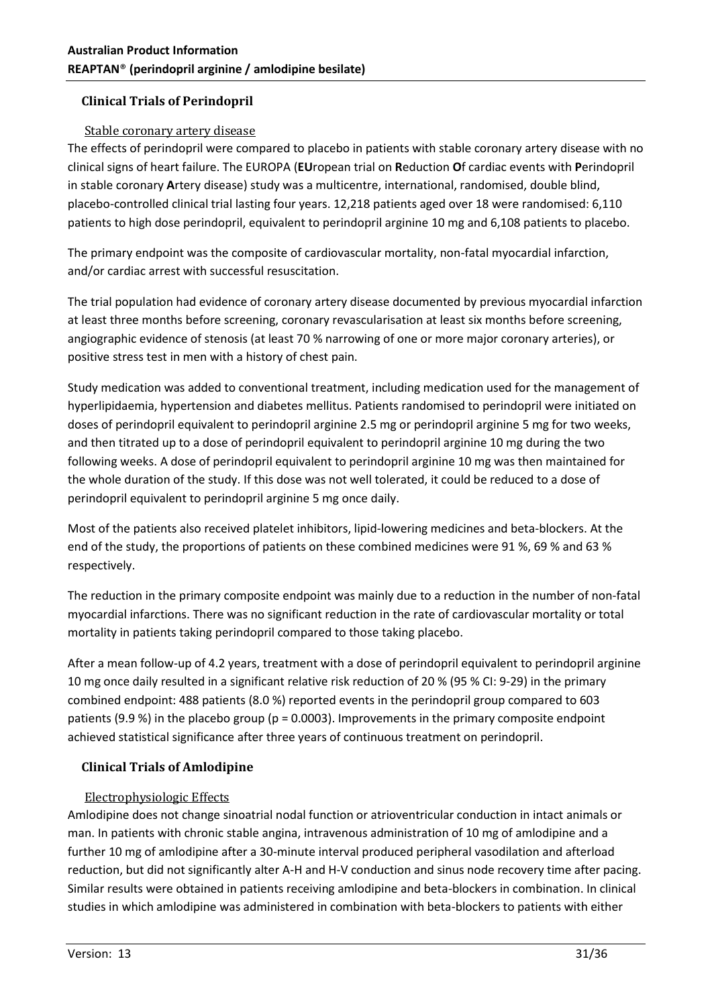# **Clinical Trials of Perindopril**

## Stable coronary artery disease

The effects of perindopril were compared to placebo in patients with stable coronary artery disease with no clinical signs of heart failure. The EUROPA (**EU**ropean trial on **R**eduction **O**f cardiac events with **P**erindopril in stable coronary **A**rtery disease) study was a multicentre, international, randomised, double blind, placebo-controlled clinical trial lasting four years. 12,218 patients aged over 18 were randomised: 6,110 patients to high dose perindopril, equivalent to perindopril arginine 10 mg and 6,108 patients to placebo.

The primary endpoint was the composite of cardiovascular mortality, non-fatal myocardial infarction, and/or cardiac arrest with successful resuscitation.

The trial population had evidence of coronary artery disease documented by previous myocardial infarction at least three months before screening, coronary revascularisation at least six months before screening, angiographic evidence of stenosis (at least 70 % narrowing of one or more major coronary arteries), or positive stress test in men with a history of chest pain.

Study medication was added to conventional treatment, including medication used for the management of hyperlipidaemia, hypertension and diabetes mellitus. Patients randomised to perindopril were initiated on doses of perindopril equivalent to perindopril arginine 2.5 mg or perindopril arginine 5 mg for two weeks, and then titrated up to a dose of perindopril equivalent to perindopril arginine 10 mg during the two following weeks. A dose of perindopril equivalent to perindopril arginine 10 mg was then maintained for the whole duration of the study. If this dose was not well tolerated, it could be reduced to a dose of perindopril equivalent to perindopril arginine 5 mg once daily.

Most of the patients also received platelet inhibitors, lipid-lowering medicines and beta-blockers. At the end of the study, the proportions of patients on these combined medicines were 91 %, 69 % and 63 % respectively.

The reduction in the primary composite endpoint was mainly due to a reduction in the number of non-fatal myocardial infarctions. There was no significant reduction in the rate of cardiovascular mortality or total mortality in patients taking perindopril compared to those taking placebo.

After a mean follow-up of 4.2 years, treatment with a dose of perindopril equivalent to perindopril arginine 10 mg once daily resulted in a significant relative risk reduction of 20 % (95 % CI: 9-29) in the primary combined endpoint: 488 patients (8.0 %) reported events in the perindopril group compared to 603 patients (9.9 %) in the placebo group (p = 0.0003). Improvements in the primary composite endpoint achieved statistical significance after three years of continuous treatment on perindopril.

# **Clinical Trials of Amlodipine**

# Electrophysiologic Effects

Amlodipine does not change sinoatrial nodal function or atrioventricular conduction in intact animals or man. In patients with chronic stable angina, intravenous administration of 10 mg of amlodipine and a further 10 mg of amlodipine after a 30-minute interval produced peripheral vasodilation and afterload reduction, but did not significantly alter A-H and H-V conduction and sinus node recovery time after pacing. Similar results were obtained in patients receiving amlodipine and beta-blockers in combination. In clinical studies in which amlodipine was administered in combination with beta-blockers to patients with either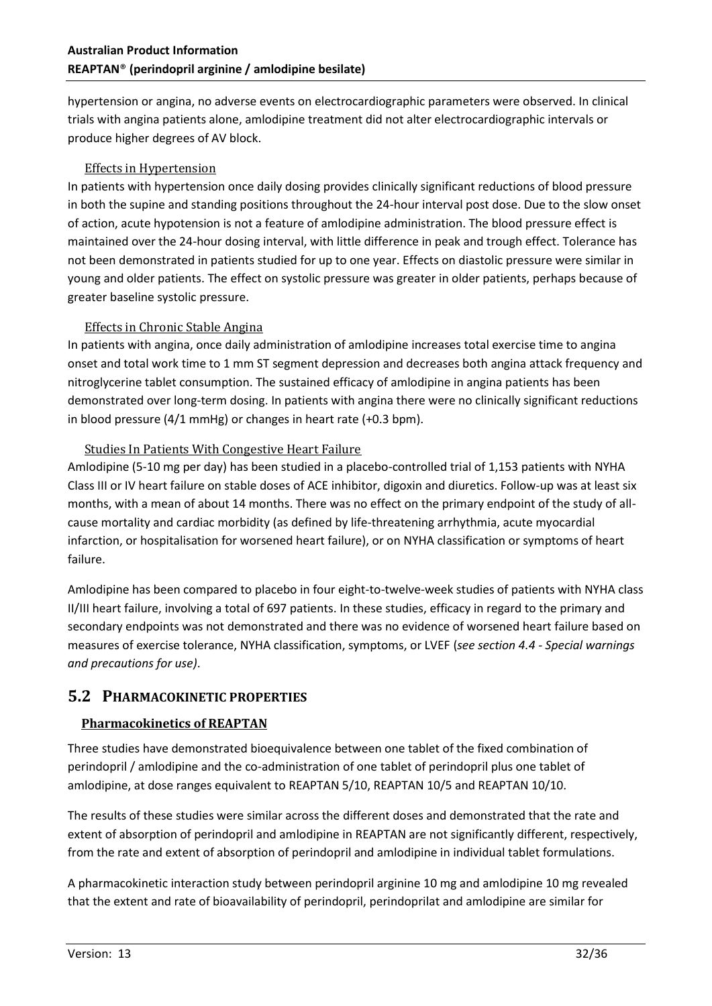hypertension or angina, no adverse events on electrocardiographic parameters were observed. In clinical trials with angina patients alone, amlodipine treatment did not alter electrocardiographic intervals or produce higher degrees of AV block.

#### Effects in Hypertension

In patients with hypertension once daily dosing provides clinically significant reductions of blood pressure in both the supine and standing positions throughout the 24-hour interval post dose. Due to the slow onset of action, acute hypotension is not a feature of amlodipine administration. The blood pressure effect is maintained over the 24-hour dosing interval, with little difference in peak and trough effect. Tolerance has not been demonstrated in patients studied for up to one year. Effects on diastolic pressure were similar in young and older patients. The effect on systolic pressure was greater in older patients, perhaps because of greater baseline systolic pressure.

#### Effects in Chronic Stable Angina

In patients with angina, once daily administration of amlodipine increases total exercise time to angina onset and total work time to 1 mm ST segment depression and decreases both angina attack frequency and nitroglycerine tablet consumption. The sustained efficacy of amlodipine in angina patients has been demonstrated over long-term dosing. In patients with angina there were no clinically significant reductions in blood pressure (4/1 mmHg) or changes in heart rate (+0.3 bpm).

#### Studies In Patients With Congestive Heart Failure

Amlodipine (5-10 mg per day) has been studied in a placebo-controlled trial of 1,153 patients with NYHA Class III or IV heart failure on stable doses of ACE inhibitor, digoxin and diuretics. Follow-up was at least six months, with a mean of about 14 months. There was no effect on the primary endpoint of the study of allcause mortality and cardiac morbidity (as defined by life-threatening arrhythmia, acute myocardial infarction, or hospitalisation for worsened heart failure), or on NYHA classification or symptoms of heart failure.

Amlodipine has been compared to placebo in four eight-to-twelve-week studies of patients with NYHA class II/III heart failure, involving a total of 697 patients. In these studies, efficacy in regard to the primary and secondary endpoints was not demonstrated and there was no evidence of worsened heart failure based on measures of exercise tolerance, NYHA classification, symptoms, or LVEF (*see section 4.4 - Special warnings and precautions for use)*.

# **5.2 PHARMACOKINETIC PROPERTIES**

# **Pharmacokinetics of REAPTAN**

Three studies have demonstrated bioequivalence between one tablet of the fixed combination of perindopril / amlodipine and the co-administration of one tablet of perindopril plus one tablet of amlodipine, at dose ranges equivalent to REAPTAN 5/10, REAPTAN 10/5 and REAPTAN 10/10.

The results of these studies were similar across the different doses and demonstrated that the rate and extent of absorption of perindopril and amlodipine in REAPTAN are not significantly different, respectively, from the rate and extent of absorption of perindopril and amlodipine in individual tablet formulations.

A pharmacokinetic interaction study between perindopril arginine 10 mg and amlodipine 10 mg revealed that the extent and rate of bioavailability of perindopril, perindoprilat and amlodipine are similar for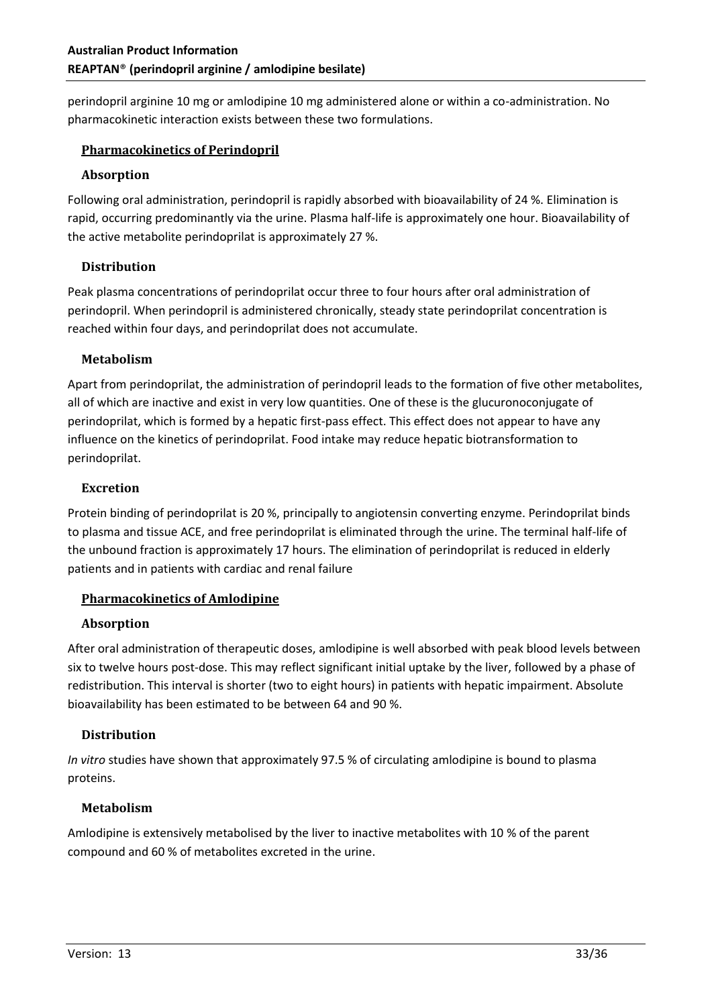perindopril arginine 10 mg or amlodipine 10 mg administered alone or within a co-administration. No pharmacokinetic interaction exists between these two formulations.

# **Pharmacokinetics of Perindopril**

#### **Absorption**

Following oral administration, perindopril is rapidly absorbed with bioavailability of 24 %. Elimination is rapid, occurring predominantly via the urine. Plasma half-life is approximately one hour. Bioavailability of the active metabolite perindoprilat is approximately 27 %.

#### **Distribution**

Peak plasma concentrations of perindoprilat occur three to four hours after oral administration of perindopril. When perindopril is administered chronically, steady state perindoprilat concentration is reached within four days, and perindoprilat does not accumulate.

#### **Metabolism**

Apart from perindoprilat, the administration of perindopril leads to the formation of five other metabolites, all of which are inactive and exist in very low quantities. One of these is the glucuronoconjugate of perindoprilat, which is formed by a hepatic first-pass effect. This effect does not appear to have any influence on the kinetics of perindoprilat. Food intake may reduce hepatic biotransformation to perindoprilat.

#### **Excretion**

Protein binding of perindoprilat is 20 %, principally to angiotensin converting enzyme. Perindoprilat binds to plasma and tissue ACE, and free perindoprilat is eliminated through the urine. The terminal half-life of the unbound fraction is approximately 17 hours. The elimination of perindoprilat is reduced in elderly patients and in patients with cardiac and renal failure

# **Pharmacokinetics of Amlodipine**

#### **Absorption**

After oral administration of therapeutic doses, amlodipine is well absorbed with peak blood levels between six to twelve hours post-dose. This may reflect significant initial uptake by the liver, followed by a phase of redistribution. This interval is shorter (two to eight hours) in patients with hepatic impairment. Absolute bioavailability has been estimated to be between 64 and 90 %.

# **Distribution**

*In vitro* studies have shown that approximately 97.5 % of circulating amlodipine is bound to plasma proteins.

# **Metabolism**

Amlodipine is extensively metabolised by the liver to inactive metabolites with 10 % of the parent compound and 60 % of metabolites excreted in the urine.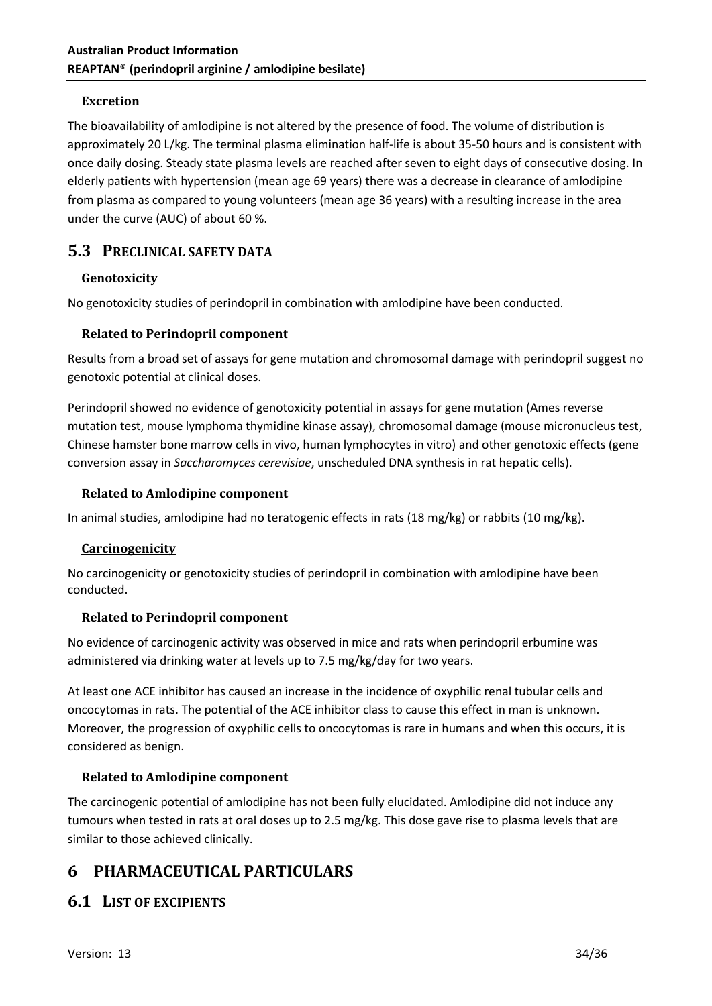#### **Excretion**

The bioavailability of amlodipine is not altered by the presence of food. The volume of distribution is approximately 20 L/kg. The terminal plasma elimination half-life is about 35-50 hours and is consistent with once daily dosing. Steady state plasma levels are reached after seven to eight days of consecutive dosing. In elderly patients with hypertension (mean age 69 years) there was a decrease in clearance of amlodipine from plasma as compared to young volunteers (mean age 36 years) with a resulting increase in the area under the curve (AUC) of about 60 %.

# **5.3 PRECLINICAL SAFETY DATA**

# **Genotoxicity**

No genotoxicity studies of perindopril in combination with amlodipine have been conducted.

# **Related to Perindopril component**

Results from a broad set of assays for gene mutation and chromosomal damage with perindopril suggest no genotoxic potential at clinical doses.

Perindopril showed no evidence of genotoxicity potential in assays for gene mutation (Ames reverse mutation test, mouse lymphoma thymidine kinase assay), chromosomal damage (mouse micronucleus test, Chinese hamster bone marrow cells in vivo, human lymphocytes in vitro) and other genotoxic effects (gene conversion assay in *Saccharomyces cerevisiae*, unscheduled DNA synthesis in rat hepatic cells).

#### **Related to Amlodipine component**

In animal studies, amlodipine had no teratogenic effects in rats (18 mg/kg) or rabbits (10 mg/kg).

# **Carcinogenicity**

No carcinogenicity or genotoxicity studies of perindopril in combination with amlodipine have been conducted.

# **Related to Perindopril component**

No evidence of carcinogenic activity was observed in mice and rats when perindopril erbumine was administered via drinking water at levels up to 7.5 mg/kg/day for two years.

At least one ACE inhibitor has caused an increase in the incidence of oxyphilic renal tubular cells and oncocytomas in rats. The potential of the ACE inhibitor class to cause this effect in man is unknown. Moreover, the progression of oxyphilic cells to oncocytomas is rare in humans and when this occurs, it is considered as benign.

# **Related to Amlodipine component**

The carcinogenic potential of amlodipine has not been fully elucidated. Amlodipine did not induce any tumours when tested in rats at oral doses up to 2.5 mg/kg. This dose gave rise to plasma levels that are similar to those achieved clinically.

# **6 PHARMACEUTICAL PARTICULARS**

# **6.1 LIST OF EXCIPIENTS**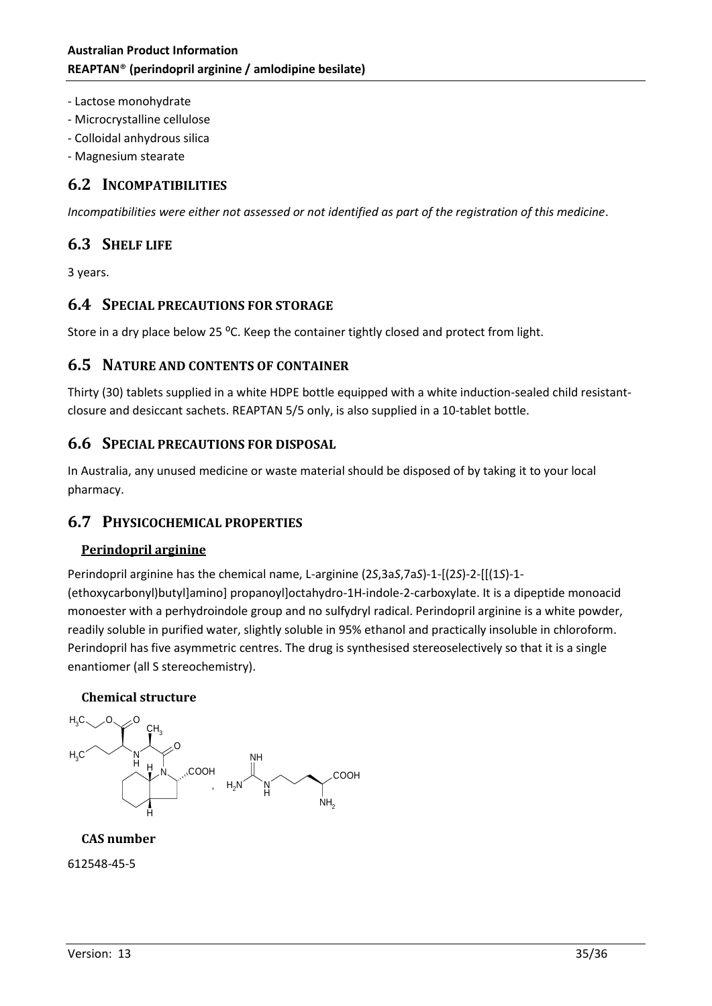- Lactose monohydrate
- Microcrystalline cellulose
- Colloidal anhydrous silica
- Magnesium stearate

# **6.2 INCOMPATIBILITIES**

*Incompatibilities were either not assessed or not identified as part of the registration of this medicine*.

# **6.3 SHELF LIFE**

3 years.

# **6.4 SPECIAL PRECAUTIONS FOR STORAGE**

Store in a dry place below 25 °C. Keep the container tightly closed and protect from light.

# **6.5 NATURE AND CONTENTS OF CONTAINER**

Thirty (30) tablets supplied in a white HDPE bottle equipped with a white induction-sealed child resistantclosure and desiccant sachets. REAPTAN 5/5 only, is also supplied in a 10-tablet bottle.

# **6.6 SPECIAL PRECAUTIONS FOR DISPOSAL**

In Australia, any unused medicine or waste material should be disposed of by taking it to your local pharmacy.

# **6.7 PHYSICOCHEMICAL PROPERTIES**

# **Perindopril arginine**

Perindopril arginine has the chemical name, L-arginine (2*S*,3a*S*,7a*S*)-1-[(2*S*)-2-[[(1*S*)-1-

(ethoxycarbonyl)butyl]amino] propanoyl]octahydro-1H-indole-2-carboxylate. It is a dipeptide monoacid monoester with a perhydroindole group and no sulfydryl radical. Perindopril arginine is a white powder, readily soluble in purified water, slightly soluble in 95% ethanol and practically insoluble in chloroform. Perindopril has five asymmetric centres. The drug is synthesised stereoselectively so that it is a single enantiomer (all S stereochemistry).

# **Chemical structure**



# **CAS number**

#### 612548-45-5